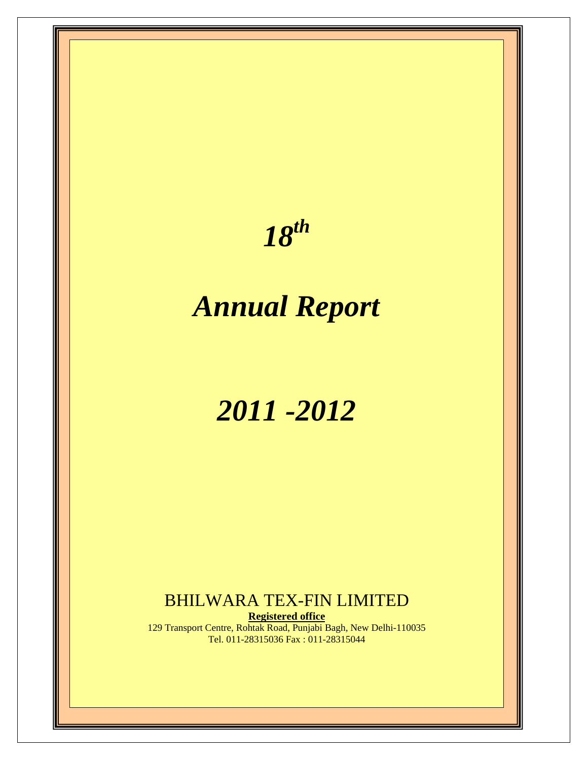# *18th*

# *Annual Report*

# *2011 -2012*

### BHILWARA TEX-FIN LIMITED

**Registered office**  129 Transport Centre, Rohtak Road, Punjabi Bagh, New Delhi-110035 Tel. 011-28315036 Fax : 011-28315044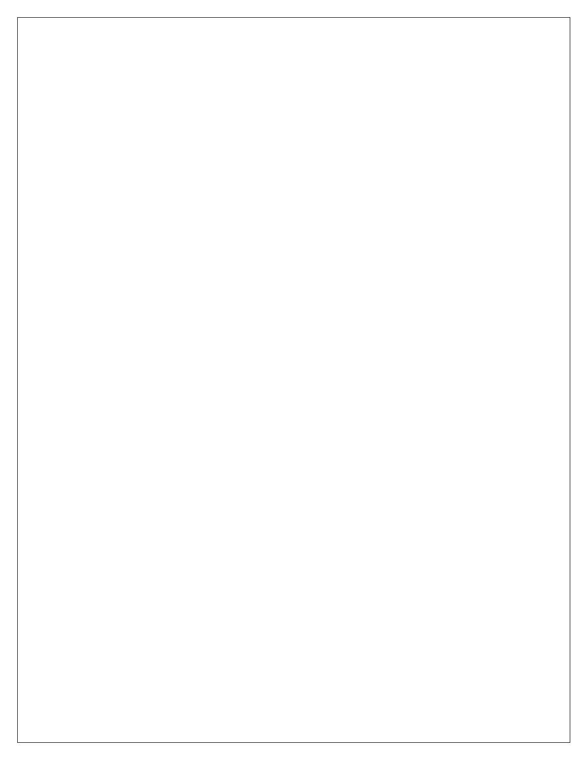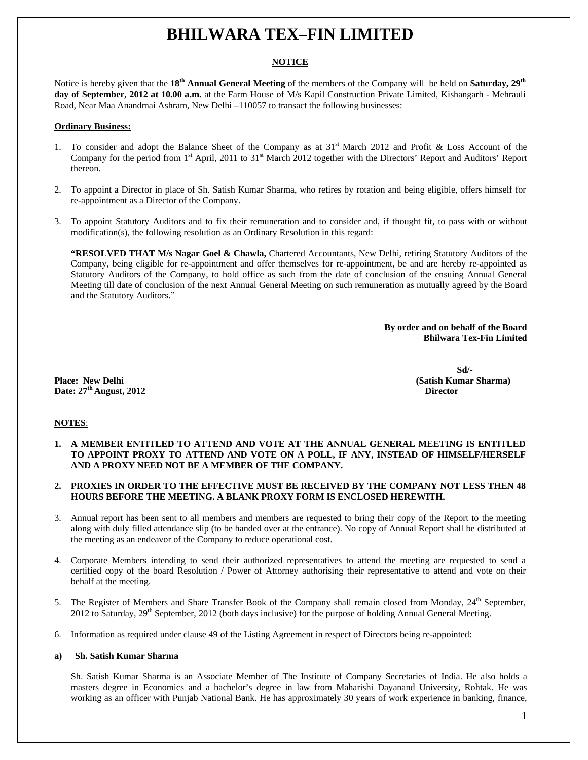#### **NOTICE**

Notice is hereby given that the **18th Annual General Meeting** of the members of the Company will be held on **Saturday, 29th day of September, 2012 at 10.00 a.m.** at the Farm House of M/s Kapil Construction Private Limited, Kishangarh - Mehrauli Road, Near Maa Anandmai Ashram, New Delhi –110057 to transact the following businesses:

#### **Ordinary Business:**

- 1. To consider and adopt the Balance Sheet of the Company as at 31<sup>st</sup> March 2012 and Profit & Loss Account of the Company for the period from 1<sup>st</sup> April, 2011 to 31<sup>st</sup> March 2012 together with the Directors' Report and Auditors' Report thereon.
- 2. To appoint a Director in place of Sh. Satish Kumar Sharma, who retires by rotation and being eligible, offers himself for re-appointment as a Director of the Company.
- 3. To appoint Statutory Auditors and to fix their remuneration and to consider and, if thought fit, to pass with or without modification(s), the following resolution as an Ordinary Resolution in this regard:

**"RESOLVED THAT M/s Nagar Goel & Chawla,** Chartered Accountants, New Delhi, retiring Statutory Auditors of the Company, being eligible for re-appointment and offer themselves for re-appointment, be and are hereby re-appointed as Statutory Auditors of the Company, to hold office as such from the date of conclusion of the ensuing Annual General Meeting till date of conclusion of the next Annual General Meeting on such remuneration as mutually agreed by the Board and the Statutory Auditors."

> **By order and on behalf of the Board Bhilwara Tex-Fin Limited**

**Date: 27th August, 2012 Director** 

**Sd/- Sd/-Place: New Delhi (Satish Kumar Sharma)** 

#### **NOTES**:

**1. A MEMBER ENTITLED TO ATTEND AND VOTE AT THE ANNUAL GENERAL MEETING IS ENTITLED TO APPOINT PROXY TO ATTEND AND VOTE ON A POLL, IF ANY, INSTEAD OF HIMSELF/HERSELF AND A PROXY NEED NOT BE A MEMBER OF THE COMPANY.** 

#### **2. PROXIES IN ORDER TO THE EFFECTIVE MUST BE RECEIVED BY THE COMPANY NOT LESS THEN 48 HOURS BEFORE THE MEETING. A BLANK PROXY FORM IS ENCLOSED HEREWITH.**

- 3. Annual report has been sent to all members and members are requested to bring their copy of the Report to the meeting along with duly filled attendance slip (to be handed over at the entrance). No copy of Annual Report shall be distributed at the meeting as an endeavor of the Company to reduce operational cost.
- 4. Corporate Members intending to send their authorized representatives to attend the meeting are requested to send a certified copy of the board Resolution / Power of Attorney authorising their representative to attend and vote on their behalf at the meeting.
- 5. The Register of Members and Share Transfer Book of the Company shall remain closed from Monday, 24<sup>th</sup> September, 2012 to Saturday,  $29<sup>th</sup>$  September, 2012 (both days inclusive) for the purpose of holding Annual General Meeting.
- 6. Information as required under clause 49 of the Listing Agreement in respect of Directors being re-appointed:

#### **a) Sh. Satish Kumar Sharma**

Sh. Satish Kumar Sharma is an Associate Member of The Institute of Company Secretaries of India. He also holds a masters degree in Economics and a bachelor's degree in law from Maharishi Dayanand University, Rohtak. He was working as an officer with Punjab National Bank. He has approximately 30 years of work experience in banking, finance,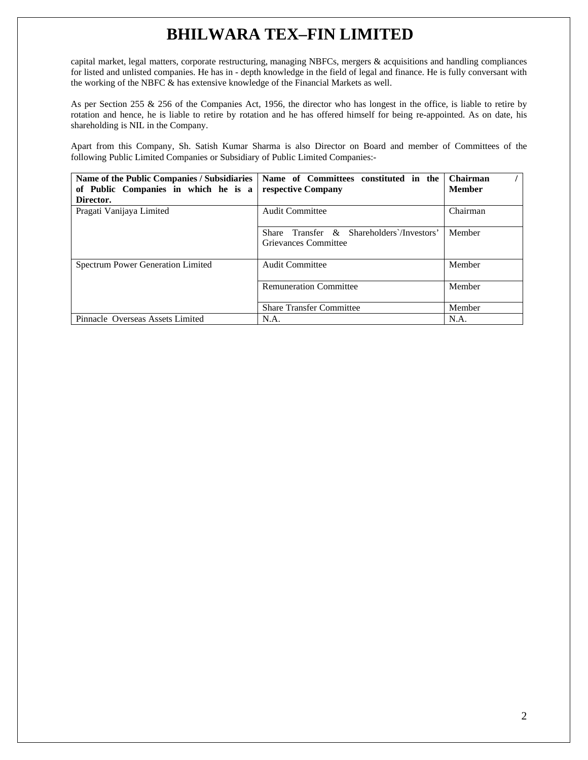capital market, legal matters, corporate restructuring, managing NBFCs, mergers & acquisitions and handling compliances for listed and unlisted companies. He has in - depth knowledge in the field of legal and finance. He is fully conversant with the working of the NBFC & has extensive knowledge of the Financial Markets as well.

As per Section 255 & 256 of the Companies Act, 1956, the director who has longest in the office, is liable to retire by rotation and hence, he is liable to retire by rotation and he has offered himself for being re-appointed. As on date, his shareholding is NIL in the Company.

Apart from this Company, Sh. Satish Kumar Sharma is also Director on Board and member of Committees of the following Public Limited Companies or Subsidiary of Public Limited Companies:-

| Name of the Public Companies / Subsidiaries  <br>of Public Companies in which he is a<br>Director. | Name of Committees constituted in the<br>respective Company              | Chairman<br><b>Member</b> |
|----------------------------------------------------------------------------------------------------|--------------------------------------------------------------------------|---------------------------|
| Pragati Vanijaya Limited                                                                           | <b>Audit Committee</b>                                                   | Chairman                  |
|                                                                                                    | Share Transfer & Shareholders'/Investors'<br><b>Grievances Committee</b> | Member                    |
| Spectrum Power Generation Limited                                                                  | <b>Audit Committee</b>                                                   | Member                    |
|                                                                                                    | <b>Remuneration Committee</b>                                            | Member                    |
|                                                                                                    | <b>Share Transfer Committee</b>                                          | Member                    |
| Pinnacle Overseas Assets Limited                                                                   | N.A.                                                                     | N.A.                      |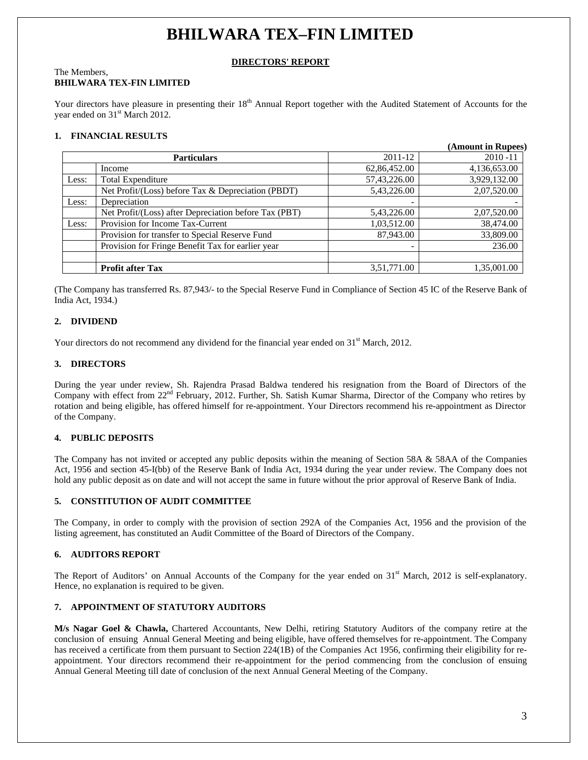#### **DIRECTORS' REPORT**

The Members, **BHILWARA TEX-FIN LIMITED** 

Your directors have pleasure in presenting their  $18<sup>th</sup>$  Annual Report together with the Audited Statement of Accounts for the year ended on 31<sup>st</sup> March 2012.

#### **1. FINANCIAL RESULTS**

|       |                                                       |                          | (Amount in Rupees) |
|-------|-------------------------------------------------------|--------------------------|--------------------|
|       | <b>Particulars</b>                                    | 2011-12                  | $2010 - 11$        |
|       | Income                                                | 62,86,452.00             | 4,136,653.00       |
| Less: | Total Expenditure                                     | 57,43,226.00             | 3,929,132.00       |
|       | Net Profit/(Loss) before Tax & Depreciation (PBDT)    | 5,43,226.00              | 2,07,520.00        |
| Less: | Depreciation                                          | $\overline{\phantom{0}}$ |                    |
|       | Net Profit/(Loss) after Depreciation before Tax (PBT) | 5,43,226.00              | 2,07,520.00        |
| Less: | Provision for Income Tax-Current                      | 1,03,512.00              | 38,474.00          |
|       | Provision for transfer to Special Reserve Fund        | 87,943.00                | 33,809.00          |
|       | Provision for Fringe Benefit Tax for earlier year     | $\overline{\phantom{a}}$ | 236.00             |
|       |                                                       |                          |                    |
|       | <b>Profit after Tax</b>                               | 3.51.771.00              | 1.35.001.00        |

(The Company has transferred Rs. 87,943/- to the Special Reserve Fund in Compliance of Section 45 IC of the Reserve Bank of India Act, 1934.)

#### **2. DIVIDEND**

Your directors do not recommend any dividend for the financial year ended on 31<sup>st</sup> March, 2012.

#### **3. DIRECTORS**

During the year under review, Sh. Rajendra Prasad Baldwa tendered his resignation from the Board of Directors of the Company with effect from 22<sup>nd</sup> February, 2012. Further, Sh. Satish Kumar Sharma, Director of the Company who retires by rotation and being eligible, has offered himself for re-appointment. Your Directors recommend his re-appointment as Director of the Company.

#### **4. PUBLIC DEPOSITS**

The Company has not invited or accepted any public deposits within the meaning of Section 58A & 58AA of the Companies Act, 1956 and section 45-I(bb) of the Reserve Bank of India Act, 1934 during the year under review. The Company does not hold any public deposit as on date and will not accept the same in future without the prior approval of Reserve Bank of India.

#### **5. CONSTITUTION OF AUDIT COMMITTEE**

The Company, in order to comply with the provision of section 292A of the Companies Act, 1956 and the provision of the listing agreement, has constituted an Audit Committee of the Board of Directors of the Company.

#### **6. AUDITORS REPORT**

The Report of Auditors' on Annual Accounts of the Company for the year ended on 31<sup>st</sup> March, 2012 is self-explanatory. Hence, no explanation is required to be given.

#### **7. APPOINTMENT OF STATUTORY AUDITORS**

**M/s Nagar Goel & Chawla,** Chartered Accountants, New Delhi, retiring Statutory Auditors of the company retire at the conclusion of ensuing Annual General Meeting and being eligible, have offered themselves for re-appointment. The Company has received a certificate from them pursuant to Section 224(1B) of the Companies Act 1956, confirming their eligibility for reappointment. Your directors recommend their re-appointment for the period commencing from the conclusion of ensuing Annual General Meeting till date of conclusion of the next Annual General Meeting of the Company.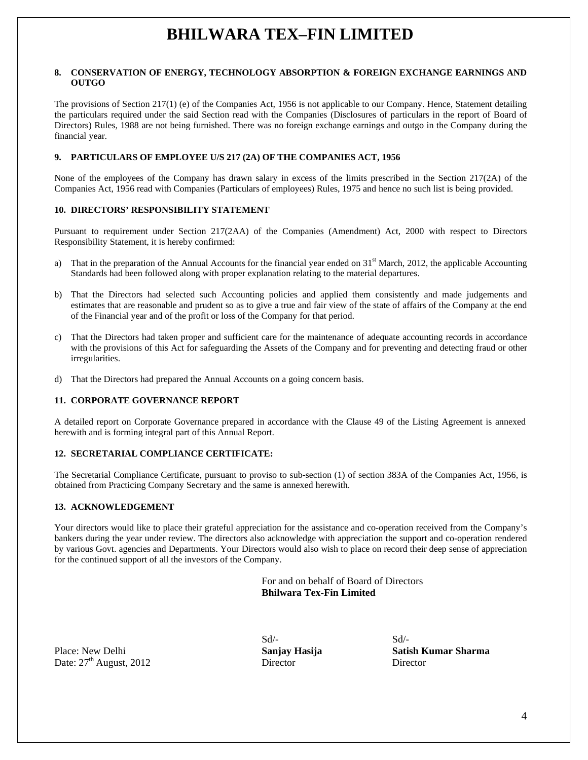#### **8. CONSERVATION OF ENERGY, TECHNOLOGY ABSORPTION & FOREIGN EXCHANGE EARNINGS AND OUTGO**

The provisions of Section 217(1) (e) of the Companies Act, 1956 is not applicable to our Company. Hence, Statement detailing the particulars required under the said Section read with the Companies (Disclosures of particulars in the report of Board of Directors) Rules, 1988 are not being furnished. There was no foreign exchange earnings and outgo in the Company during the financial year.

#### **9. PARTICULARS OF EMPLOYEE U/S 217 (2A) OF THE COMPANIES ACT, 1956**

None of the employees of the Company has drawn salary in excess of the limits prescribed in the Section 217(2A) of the Companies Act, 1956 read with Companies (Particulars of employees) Rules, 1975 and hence no such list is being provided.

#### **10. DIRECTORS' RESPONSIBILITY STATEMENT**

Pursuant to requirement under Section 217(2AA) of the Companies (Amendment) Act, 2000 with respect to Directors Responsibility Statement, it is hereby confirmed:

- a) That in the preparation of the Annual Accounts for the financial year ended on  $31<sup>st</sup>$  March, 2012, the applicable Accounting Standards had been followed along with proper explanation relating to the material departures.
- b) That the Directors had selected such Accounting policies and applied them consistently and made judgements and estimates that are reasonable and prudent so as to give a true and fair view of the state of affairs of the Company at the end of the Financial year and of the profit or loss of the Company for that period.
- c) That the Directors had taken proper and sufficient care for the maintenance of adequate accounting records in accordance with the provisions of this Act for safeguarding the Assets of the Company and for preventing and detecting fraud or other irregularities.
- d) That the Directors had prepared the Annual Accounts on a going concern basis.

#### **11. CORPORATE GOVERNANCE REPORT**

A detailed report on Corporate Governance prepared in accordance with the Clause 49 of the Listing Agreement is annexed herewith and is forming integral part of this Annual Report.

#### **12. SECRETARIAL COMPLIANCE CERTIFICATE:**

The Secretarial Compliance Certificate, pursuant to proviso to sub-section (1) of section 383A of the Companies Act, 1956, is obtained from Practicing Company Secretary and the same is annexed herewith.

#### **13. ACKNOWLEDGEMENT**

Your directors would like to place their grateful appreciation for the assistance and co-operation received from the Company's bankers during the year under review. The directors also acknowledge with appreciation the support and co-operation rendered by various Govt. agencies and Departments. Your Directors would also wish to place on record their deep sense of appreciation for the continued support of all the investors of the Company.

> For and on behalf of Board of Directors **Bhilwara Tex-Fin Limited**

Place: New Delhi Date:  $27<sup>th</sup>$  August, 2012 Sd/- **Sanjay Hasija**  Director

Sd/- **Satish Kumar Sharma**  Director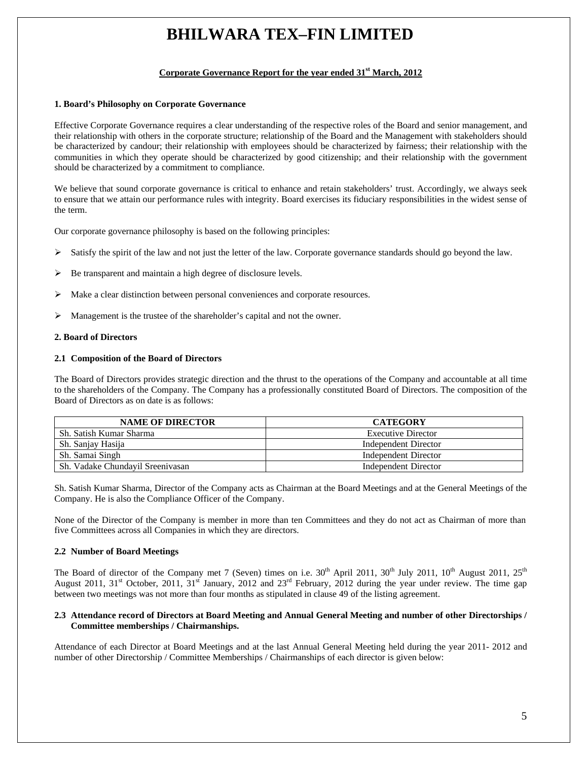#### **Corporate Governance Report for the year ended 31st March, 2012**

#### **1. Board's Philosophy on Corporate Governance**

Effective Corporate Governance requires a clear understanding of the respective roles of the Board and senior management, and their relationship with others in the corporate structure; relationship of the Board and the Management with stakeholders should be characterized by candour; their relationship with employees should be characterized by fairness; their relationship with the communities in which they operate should be characterized by good citizenship; and their relationship with the government should be characterized by a commitment to compliance.

We believe that sound corporate governance is critical to enhance and retain stakeholders' trust. Accordingly, we always seek to ensure that we attain our performance rules with integrity. Board exercises its fiduciary responsibilities in the widest sense of the term.

Our corporate governance philosophy is based on the following principles:

- $\triangleright$  Satisfy the spirit of the law and not just the letter of the law. Corporate governance standards should go beyond the law.
- $\triangleright$  Be transparent and maintain a high degree of disclosure levels.
- ¾ Make a clear distinction between personal conveniences and corporate resources.
- ¾ Management is the trustee of the shareholder's capital and not the owner.

#### **2. Board of Directors**

#### **2.1 Composition of the Board of Directors**

The Board of Directors provides strategic direction and the thrust to the operations of the Company and accountable at all time to the shareholders of the Company. The Company has a professionally constituted Board of Directors. The composition of the Board of Directors as on date is as follows:

| <b>NAME OF DIRECTOR</b>          | <b>CATEGORY</b>             |
|----------------------------------|-----------------------------|
| Sh. Satish Kumar Sharma          | <b>Executive Director</b>   |
| Sh. Sanjay Hasija                | Independent Director        |
| Sh. Samai Singh                  | Independent Director        |
| Sh. Vadake Chundavil Sreeniyasan | <b>Independent Director</b> |

Sh. Satish Kumar Sharma, Director of the Company acts as Chairman at the Board Meetings and at the General Meetings of the Company. He is also the Compliance Officer of the Company.

None of the Director of the Company is member in more than ten Committees and they do not act as Chairman of more than five Committees across all Companies in which they are directors.

#### **2.2 Number of Board Meetings**

The Board of director of the Company met 7 (Seven) times on i.e.  $30^{th}$  April 2011,  $30^{th}$  July 2011,  $10^{th}$  August 2011,  $25^{th}$ August 2011,  $31^{st}$  October, 2011,  $31^{st}$  January, 2012 and  $23^{rd}$  February, 2012 during the year under review. The time gap between two meetings was not more than four months as stipulated in clause 49 of the listing agreement.

#### **2.3 Attendance record of Directors at Board Meeting and Annual General Meeting and number of other Directorships / Committee memberships / Chairmanships.**

Attendance of each Director at Board Meetings and at the last Annual General Meeting held during the year 2011- 2012 and number of other Directorship / Committee Memberships / Chairmanships of each director is given below: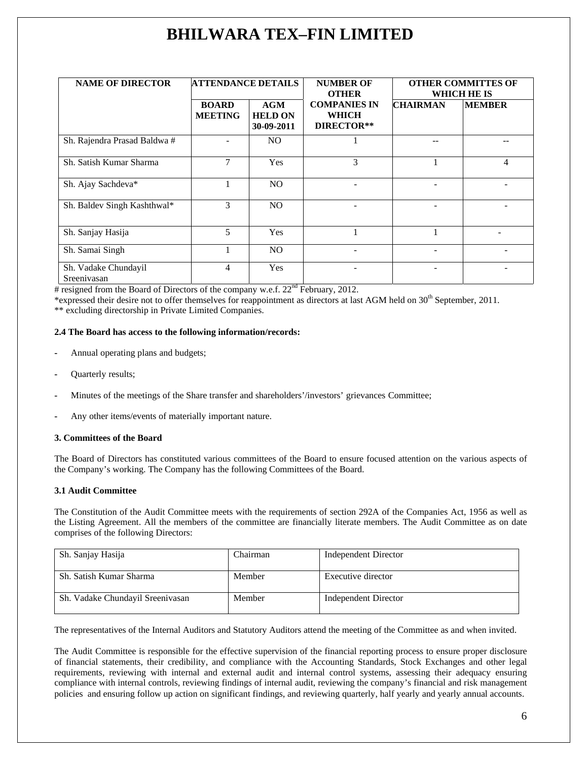| <b>NAME OF DIRECTOR</b>             | <b>ATTENDANCE DETAILS</b>      |                                     | <b>NUMBER OF</b><br><b>OTHER</b>           | <b>OTHER COMMITTES OF</b><br>WHICH HE IS |                |
|-------------------------------------|--------------------------------|-------------------------------------|--------------------------------------------|------------------------------------------|----------------|
|                                     | <b>BOARD</b><br><b>MEETING</b> | AGM<br><b>HELD ON</b><br>30-09-2011 | <b>COMPANIES IN</b><br>WHICH<br>DIRECTOR** | <b>CHAIRMAN</b>                          | <b>MEMBER</b>  |
| Sh. Rajendra Prasad Baldwa #        |                                | NO.                                 |                                            |                                          |                |
| Sh. Satish Kumar Sharma             | 7                              | Yes                                 | 3                                          |                                          | $\overline{4}$ |
| Sh. Ajay Sachdeva*                  | 1                              | NO.                                 |                                            |                                          |                |
| Sh. Baldev Singh Kashthwal*         | 3                              | N <sub>O</sub>                      |                                            |                                          |                |
| Sh. Sanjay Hasija                   | 5                              | Yes                                 |                                            |                                          |                |
| Sh. Samai Singh                     |                                | N <sub>O</sub>                      |                                            |                                          |                |
| Sh. Vadake Chundayil<br>Sreenivasan | 4                              | Yes                                 |                                            |                                          |                |

# resigned from the Board of Directors of the company w.e.f. 22<sup>nd</sup> February, 2012.

\*expressed their desire not to offer themselves for reappointment as directors at last AGM held on 30th September, 2011. \*\* excluding directorship in Private Limited Companies.

#### **2.4 The Board has access to the following information/records:**

- **-** Annual operating plans and budgets;
- **-** Quarterly results;
- **-** Minutes of the meetings of the Share transfer and shareholders'/investors' grievances Committee;
- **-** Any other items/events of materially important nature.

#### **3. Committees of the Board**

The Board of Directors has constituted various committees of the Board to ensure focused attention on the various aspects of the Company's working. The Company has the following Committees of the Board.

#### **3.1 Audit Committee**

The Constitution of the Audit Committee meets with the requirements of section 292A of the Companies Act, 1956 as well as the Listing Agreement. All the members of the committee are financially literate members. The Audit Committee as on date comprises of the following Directors:

| Sh. Sanjay Hasija                | Chairman | <b>Independent Director</b> |
|----------------------------------|----------|-----------------------------|
| Sh. Satish Kumar Sharma          | Member   | Executive director          |
| Sh. Vadake Chundayil Sreeniyasan | Member   | Independent Director        |

The representatives of the Internal Auditors and Statutory Auditors attend the meeting of the Committee as and when invited.

The Audit Committee is responsible for the effective supervision of the financial reporting process to ensure proper disclosure of financial statements, their credibility, and compliance with the Accounting Standards, Stock Exchanges and other legal requirements, reviewing with internal and external audit and internal control systems, assessing their adequacy ensuring compliance with internal controls, reviewing findings of internal audit, reviewing the company's financial and risk management policies and ensuring follow up action on significant findings, and reviewing quarterly, half yearly and yearly annual accounts.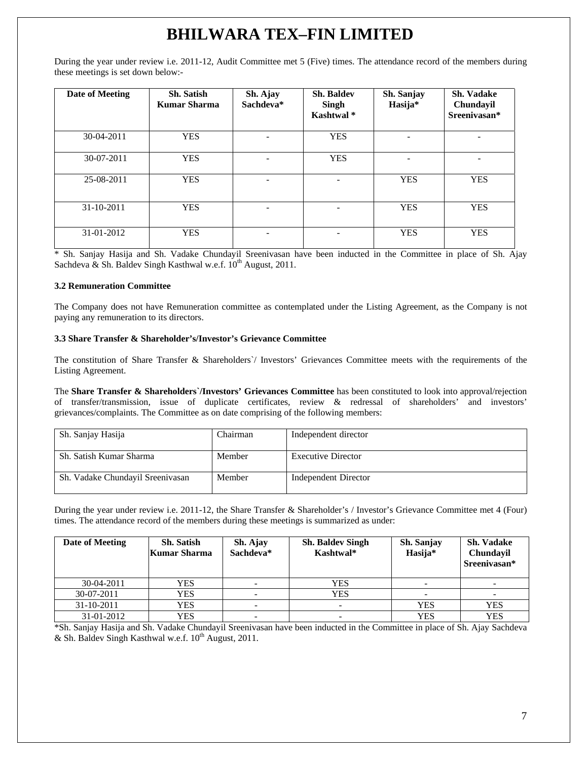During the year under review i.e. 2011-12, Audit Committee met 5 (Five) times. The attendance record of the members during these meetings is set down below:-

| Date of Meeting | <b>Sh.</b> Satish<br>Kumar Sharma | Sh. Ajay<br>Sachdeva* | <b>Sh. Baldev</b><br>Singh<br>Kashtwal* | Sh. Sanjay<br>Hasija* | <b>Sh. Vadake</b><br>Chundayil<br>Sreenivasan* |
|-----------------|-----------------------------------|-----------------------|-----------------------------------------|-----------------------|------------------------------------------------|
| 30-04-2011      | <b>YES</b>                        |                       | <b>YES</b>                              |                       |                                                |
| 30-07-2011      | <b>YES</b>                        |                       | <b>YES</b>                              |                       |                                                |
| 25-08-2011      | <b>YES</b>                        |                       |                                         | <b>YES</b>            | <b>YES</b>                                     |
| 31-10-2011      | <b>YES</b>                        |                       |                                         | <b>YES</b>            | <b>YES</b>                                     |
| 31-01-2012      | <b>YES</b>                        |                       |                                         | <b>YES</b>            | <b>YES</b>                                     |

\* Sh. Sanjay Hasija and Sh. Vadake Chundayil Sreenivasan have been inducted in the Committee in place of Sh. Ajay Sachdeva & Sh. Baldev Singh Kasthwal w.e.f.  $10^{th}$  August, 2011.

#### **3.2 Remuneration Committee**

The Company does not have Remuneration committee as contemplated under the Listing Agreement, as the Company is not paying any remuneration to its directors.

#### **3.3 Share Transfer & Shareholder's/Investor's Grievance Committee**

The constitution of Share Transfer & Shareholders`/ Investors' Grievances Committee meets with the requirements of the Listing Agreement.

The **Share Transfer & Shareholders`/Investors' Grievances Committee** has been constituted to look into approval/rejection of transfer/transmission, issue of duplicate certificates, review & redressal of shareholders' and investors' grievances/complaints. The Committee as on date comprising of the following members:

| Sh. Sanjay Hasija                | Chairman | Independent director      |
|----------------------------------|----------|---------------------------|
| Sh. Satish Kumar Sharma          | Member   | <b>Executive Director</b> |
| Sh. Vadake Chundayil Sreenivasan | Member   | Independent Director      |

During the year under review i.e. 2011-12, the Share Transfer & Shareholder's / Investor's Grievance Committee met 4 (Four) times. The attendance record of the members during these meetings is summarized as under:

| Date of Meeting | <b>Sh.</b> Satish<br>Kumar Sharma | Sh. Ajay<br>Sachdeva* | <b>Sh. Baldev Singh</b><br>Kashtwal* | Sh. Sanjay<br>Hasija* | <b>Sh. Vadake</b><br>Chundayil<br>Sreenivasan* |
|-----------------|-----------------------------------|-----------------------|--------------------------------------|-----------------------|------------------------------------------------|
| 30-04-2011      | YES                               |                       | YES                                  |                       |                                                |
| 30-07-2011      | YES                               |                       | YES                                  |                       |                                                |
| 31-10-2011      | YES                               |                       |                                      | <b>YES</b>            | YES                                            |
| 31-01-2012      | YES                               |                       |                                      | YES                   | YES                                            |

\*Sh. Sanjay Hasija and Sh. Vadake Chundayil Sreenivasan have been inducted in the Committee in place of Sh. Ajay Sachdeva & Sh. Baldev Singh Kasthwal w.e.f.  $10^{th}$  August, 2011.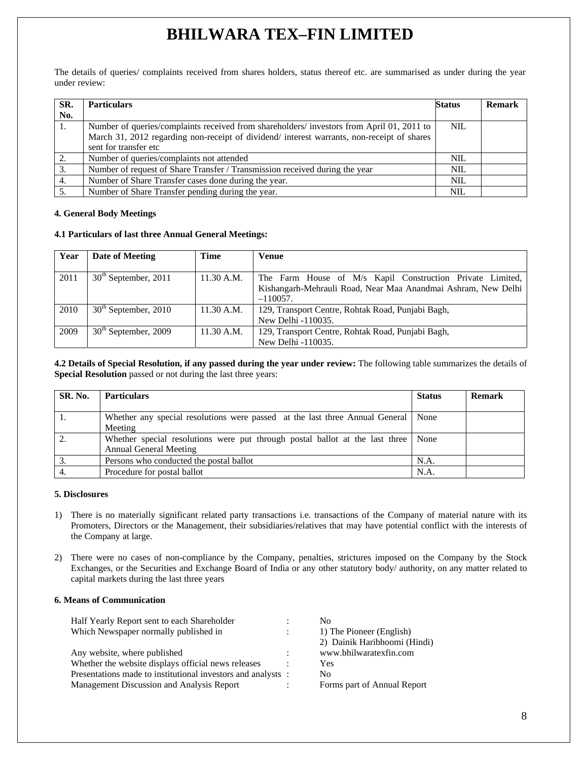The details of queries/ complaints received from shares holders, status thereof etc. are summarised as under during the year under review:

| SR. | <b>Particulars</b>                                                                         | <b>Status</b> | <b>Remark</b> |
|-----|--------------------------------------------------------------------------------------------|---------------|---------------|
| No. |                                                                                            |               |               |
| 1.  | Number of queries/complaints received from shareholders/ investors from April 01, 2011 to  | NIL.          |               |
|     | March 31, 2012 regarding non-receipt of dividend/ interest warrants, non-receipt of shares |               |               |
|     | sent for transfer etc                                                                      |               |               |
| 2.  | Number of queries/complaints not attended                                                  | NIL.          |               |
| 3.  | Number of request of Share Transfer / Transmission received during the year                | <b>NIL</b>    |               |
| 4.  | Number of Share Transfer cases done during the year.                                       | NIL           |               |
|     | Number of Share Transfer pending during the year.                                          | NIL           |               |

#### **4. General Body Meetings**

#### **4.1 Particulars of last three Annual General Meetings:**

| Year | Date of Meeting        | <b>Time</b> | Venue                                                         |
|------|------------------------|-------------|---------------------------------------------------------------|
|      |                        |             |                                                               |
| 2011 | $30th$ September, 2011 | 11.30 A.M.  | The Farm House of M/s Kapil Construction Private Limited,     |
|      |                        |             | Kishangarh-Mehrauli Road, Near Maa Anandmai Ashram, New Delhi |
|      |                        |             | $-110057.$                                                    |
| 2010 | $30th$ September, 2010 | 11.30 A.M.  | 129, Transport Centre, Rohtak Road, Punjabi Bagh,             |
|      |                        |             | New Delhi -110035.                                            |
| 2009 | $30th$ September, 2009 | 11.30 A.M.  | 129, Transport Centre, Rohtak Road, Punjabi Bagh,             |
|      |                        |             | New Delhi -110035.                                            |

**4.2 Details of Special Resolution, if any passed during the year under review:** The following table summarizes the details of **Special Resolution** passed or not during the last three years:

| <b>SR. No.</b> | <b>Particulars</b>                                                                                                   | <b>Status</b> | Remark |
|----------------|----------------------------------------------------------------------------------------------------------------------|---------------|--------|
|                | Whether any special resolutions were passed at the last three Annual General   None<br>Meeting                       |               |        |
|                | Whether special resolutions were put through postal ballot at the last three   None<br><b>Annual General Meeting</b> |               |        |
|                | Persons who conducted the postal ballot                                                                              | N.A.          |        |
| 4.             | Procedure for postal ballot                                                                                          | N.A.          |        |

#### **5. Disclosures**

- 1) There is no materially significant related party transactions i.e. transactions of the Company of material nature with its Promoters, Directors or the Management, their subsidiaries/relatives that may have potential conflict with the interests of the Company at large.
- 2) There were no cases of non-compliance by the Company, penalties, strictures imposed on the Company by the Stock Exchanges, or the Securities and Exchange Board of India or any other statutory body/ authority, on any matter related to capital markets during the last three years

#### **6. Means of Communication**

| Half Yearly Report sent to each Shareholder                 | No                           |
|-------------------------------------------------------------|------------------------------|
| Which Newspaper normally published in                       | 1) The Pioneer (English)     |
|                                                             | 2) Dainik Haribhoomi (Hindi) |
| Any website, where published                                | www.bhilwaratexfin.com       |
| Whether the website displays official news releases         | Yes                          |
| Presentations made to institutional investors and analysts: | No                           |
| Management Discussion and Analysis Report                   | Forms part of Annual Report  |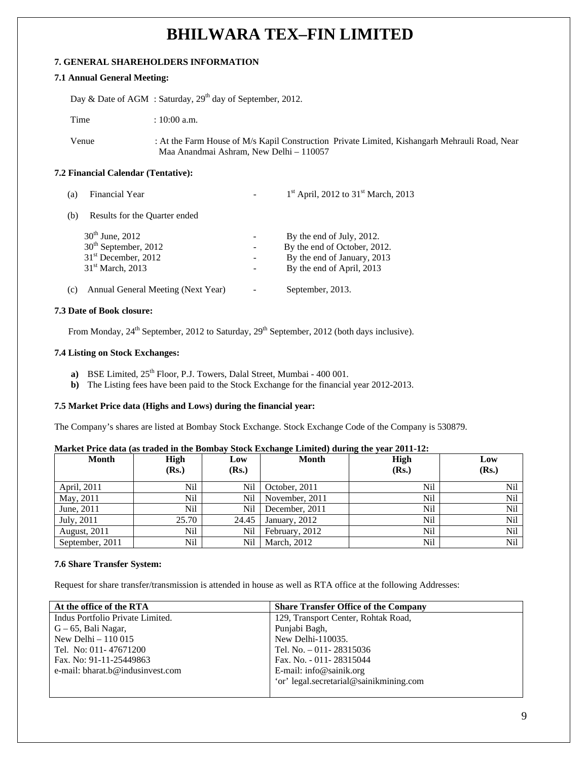#### **7. GENERAL SHAREHOLDERS INFORMATION**

#### **7.1 Annual General Meeting:**

Day & Date of AGM : Saturday, 29<sup>th</sup> day of September, 2012.

Time : 10:00 a.m.

Venue : At the Farm House of M/s Kapil Construction Private Limited, Kishangarh Mehrauli Road, Near Maa Anandmai Ashram, New Delhi – 110057

#### **7.2 Financial Calendar (Tentative):**

- (a) Financial Year  $1<sup>st</sup>$  April, 2012 to  $31<sup>st</sup>$  March, 2013
- (b) Results for the Quarter ended

| $30^{\text{th}}$ June, 2012<br>30 <sup>th</sup> September, 2012<br>31 <sup>st</sup> December, 2012<br>$31st$ March, 2013 |                          | By the end of July, 2012.<br>By the end of October, 2012.<br>By the end of January, 2013<br>By the end of April, 2013 |
|--------------------------------------------------------------------------------------------------------------------------|--------------------------|-----------------------------------------------------------------------------------------------------------------------|
| Annual General Meeting (Next Year)<br>(c)                                                                                | $\overline{\phantom{a}}$ | September, 2013.                                                                                                      |

#### **7.3 Date of Book closure:**

From Monday, 24<sup>th</sup> September, 2012 to Saturday, 29<sup>th</sup> September, 2012 (both days inclusive).

#### **7.4 Listing on Stock Exchanges:**

- **a**) BSE Limited, 25<sup>th</sup> Floor, P.J. Towers, Dalal Street, Mumbai 400 001.
- **b)** The Listing fees have been paid to the Stock Exchange for the financial year 2012-2013.

#### **7.5 Market Price data (Highs and Lows) during the financial year:**

The Company's shares are listed at Bombay Stock Exchange. Stock Exchange Code of the Company is 530879.

#### **Market Price data (as traded in the Bombay Stock Exchange Limited) during the year 2011-12:**

| Month               | High<br>(Rs.) | Low<br>(Rs.) | 0<br><b>Month</b> | -<br>High<br>(Rs.) | Low<br>(Rs.) |
|---------------------|---------------|--------------|-------------------|--------------------|--------------|
| April, 2011         | Nil           | Nil          | October, 2011     | Nil                | Nil          |
| May, 2011           | Nil           | Nil          | November, 2011    | Nil                | Nil          |
| June, 2011          | Nil           | Nil          | December, 2011    | Nil                | Nil          |
| July, 2011          | 25.70         | 24.45        | January, 2012     | Nil                | Nil          |
| <b>August, 2011</b> | Nil           | Nil          | February, 2012    | <b>Nil</b>         | Nil          |
| September, 2011     | Nil           | Nil          | March, 2012       | Nil                | Nil          |

#### **7.6 Share Transfer System:**

Request for share transfer/transmission is attended in house as well as RTA office at the following Addresses:

| At the office of the RTA         | <b>Share Transfer Office of the Company</b> |
|----------------------------------|---------------------------------------------|
| Indus Portfolio Private Limited. | 129, Transport Center, Rohtak Road,         |
| $G-65$ , Bali Nagar,             | Punjabi Bagh,                               |
| New Delhi $-110015$              | New Delhi-110035.                           |
| Tel. No: 011-47671200            | Tel. No. $-011 - 28315036$                  |
| Fax. No: 91-11-25449863          | Fax. No. - 011 - 28315044                   |
| e-mail: bharat.b@indusinvest.com | E-mail: $info@sainik.org$                   |
|                                  | 'or' legal.secretarial@sainikmining.com     |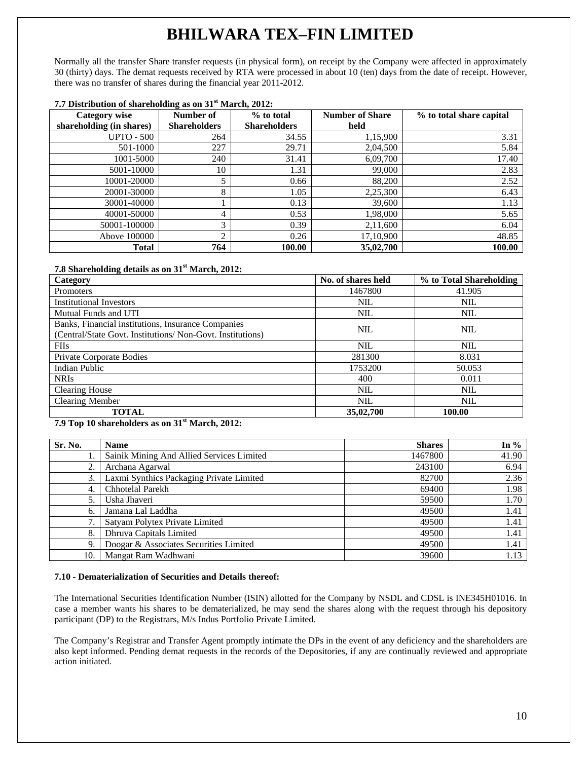Normally all the transfer Share transfer requests (in physical form), on receipt by the Company were affected in approximately 30 (thirty) days. The demat requests received by RTA were processed in about 10 (ten) days from the date of receipt. However, there was no transfer of shares during the financial year 2011-2012.

#### **7.7 Distribution of shareholding as on 31st March, 2012:**

| Category wise            | Number of           | % to total          | <b>Number of Share</b> | % to total share capital |
|--------------------------|---------------------|---------------------|------------------------|--------------------------|
| shareholding (in shares) | <b>Shareholders</b> | <b>Shareholders</b> | held                   |                          |
| <b>UPTO - 500</b>        | 264                 | 34.55               | 1,15,900               | 3.31                     |
| 501-1000                 | 227                 | 29.71               | 2,04,500               | 5.84                     |
| 1001-5000                | 240                 | 31.41               | 6,09,700               | 17.40                    |
| 5001-10000               | 10                  | 1.31                | 99,000                 | 2.83                     |
| 10001-20000              | 5                   | 0.66                | 88,200                 | 2.52                     |
| 20001-30000              | 8                   | 1.05                | 2,25,300               | 6.43                     |
| 30001-40000              |                     | 0.13                | 39,600                 | 1.13                     |
| 40001-50000              | 4                   | 0.53                | 1,98,000               | 5.65                     |
| 50001-100000             | 3                   | 0.39                | 2,11,600               | 6.04                     |
| Above 100000             | ↑                   | 0.26                | 17,10,900              | 48.85                    |
| <b>Total</b>             | 764                 | 100.00              | 35,02,700              | 100.00                   |

#### **7.8 Shareholding details as on 31st March, 2012:**

| Category                                                   | No. of shares held | % to Total Shareholding |
|------------------------------------------------------------|--------------------|-------------------------|
| Promoters                                                  | 1467800            | 41.905                  |
| <b>Institutional Investors</b>                             | NIL                | NIL                     |
| Mutual Funds and UTI                                       | NIL                | NIL                     |
| Banks, Financial institutions, Insurance Companies         | NIL                | NIL                     |
| (Central/State Govt. Institutions/ Non-Govt. Institutions) |                    |                         |
| <b>FIIs</b>                                                | NIL.               | NIL.                    |
| Private Corporate Bodies                                   | 281300             | 8.031                   |
| <b>Indian Public</b>                                       | 1753200            | 50.053                  |
| <b>NRIs</b>                                                | 400                | 0.011                   |
| <b>Clearing House</b>                                      | NIL                | NIL                     |
| <b>Clearing Member</b>                                     | NIL                | NIL                     |
| <b>TOTAL</b>                                               | 35,02,700          | 100.00                  |

**7.9 Top 10 shareholders as on 31st March, 2012:** 

| Sr. No. | <b>Name</b>                               | <b>Shares</b> | In $%$ |
|---------|-------------------------------------------|---------------|--------|
|         | Sainik Mining And Allied Services Limited | 1467800       | 41.90  |
| 2.      | Archana Agarwal                           | 243100        | 6.94   |
| 3.      | Laxmi Synthics Packaging Private Limited  | 82700         | 2.36   |
| 4.      | Chhotelal Parekh                          | 69400         | 1.98   |
| 5.      | Usha Jhaveri                              | 59500         | 1.70   |
| 6.      | Jamana Lal Laddha                         | 49500         | 1.41   |
| 7.      | Satyam Polytex Private Limited            | 49500         | 1.41   |
| 8.      | Dhruva Capitals Limited                   | 49500         | 1.41   |
| 9.      | Doogar & Associates Securities Limited    | 49500         | 1.41   |
| 10.     | Mangat Ram Wadhwani                       | 39600         | 1.13   |

#### **7.10 - Dematerialization of Securities and Details thereof:**

The International Securities Identification Number (ISIN) allotted for the Company by NSDL and CDSL is INE345H01016. In case a member wants his shares to be dematerialized, he may send the shares along with the request through his depository participant (DP) to the Registrars, M/s Indus Portfolio Private Limited.

The Company's Registrar and Transfer Agent promptly intimate the DPs in the event of any deficiency and the shareholders are also kept informed. Pending demat requests in the records of the Depositories, if any are continually reviewed and appropriate action initiated.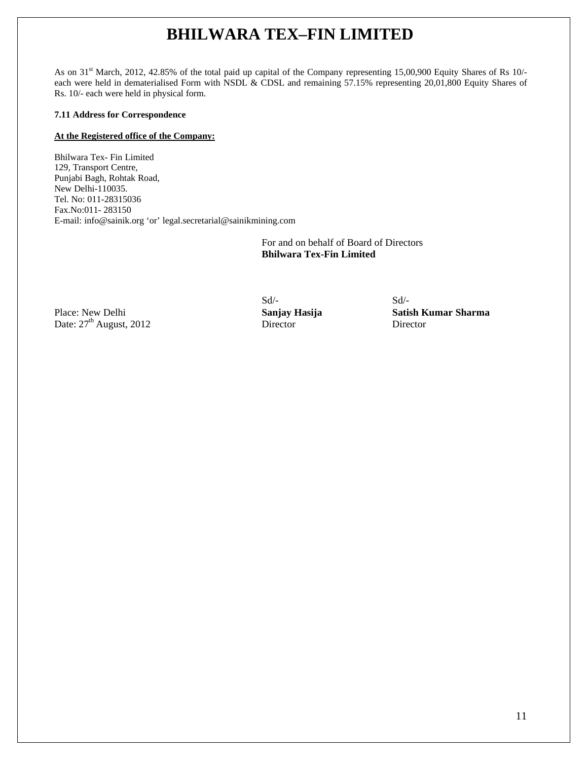As on 31<sup>st</sup> March, 2012, 42.85% of the total paid up capital of the Company representing 15,00,900 Equity Shares of Rs 10/each were held in dematerialised Form with NSDL & CDSL and remaining 57.15% representing 20,01,800 Equity Shares of Rs. 10/- each were held in physical form.

#### **7.11 Address for Correspondence**

#### **At the Registered office of the Company:**

Bhilwara Tex- Fin Limited 129, Transport Centre, Punjabi Bagh, Rohtak Road, New Delhi-110035. Tel. No: 011-28315036 Fax.No:011- 283150 E-mail: info@sainik.org 'or' legal.secretarial@sainikmining.com

> For and on behalf of Board of Directors **Bhilwara Tex-Fin Limited**

Place: New Delhi Date:  $27<sup>th</sup>$  August, 2012 Sd/- **Sanjay Hasija**  Director

Sd/- **Satish Kumar Sharma**  Director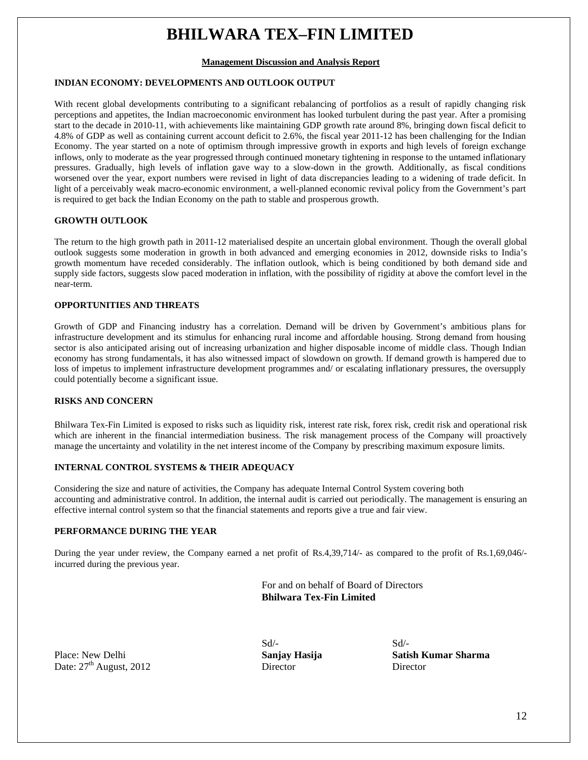#### **Management Discussion and Analysis Report**

#### **INDIAN ECONOMY: DEVELOPMENTS AND OUTLOOK OUTPUT**

With recent global developments contributing to a significant rebalancing of portfolios as a result of rapidly changing risk perceptions and appetites, the Indian macroeconomic environment has looked turbulent during the past year. After a promising start to the decade in 2010-11, with achievements like maintaining GDP growth rate around 8%, bringing down fiscal deficit to 4.8% of GDP as well as containing current account deficit to 2.6%, the fiscal year 2011-12 has been challenging for the Indian Economy. The year started on a note of optimism through impressive growth in exports and high levels of foreign exchange inflows, only to moderate as the year progressed through continued monetary tightening in response to the untamed inflationary pressures. Gradually, high levels of inflation gave way to a slow-down in the growth. Additionally, as fiscal conditions worsened over the year, export numbers were revised in light of data discrepancies leading to a widening of trade deficit. In light of a perceivably weak macro-economic environment, a well-planned economic revival policy from the Government's part is required to get back the Indian Economy on the path to stable and prosperous growth.

#### **GROWTH OUTLOOK**

The return to the high growth path in 2011-12 materialised despite an uncertain global environment. Though the overall global outlook suggests some moderation in growth in both advanced and emerging economies in 2012, downside risks to India's growth momentum have receded considerably. The inflation outlook, which is being conditioned by both demand side and supply side factors, suggests slow paced moderation in inflation, with the possibility of rigidity at above the comfort level in the near-term.

#### **OPPORTUNITIES AND THREATS**

Growth of GDP and Financing industry has a correlation. Demand will be driven by Government's ambitious plans for infrastructure development and its stimulus for enhancing rural income and affordable housing. Strong demand from housing sector is also anticipated arising out of increasing urbanization and higher disposable income of middle class. Though Indian economy has strong fundamentals, it has also witnessed impact of slowdown on growth. If demand growth is hampered due to loss of impetus to implement infrastructure development programmes and/ or escalating inflationary pressures, the oversupply could potentially become a significant issue.

#### **RISKS AND CONCERN**

Bhilwara Tex-Fin Limited is exposed to risks such as liquidity risk, interest rate risk, forex risk, credit risk and operational risk which are inherent in the financial intermediation business. The risk management process of the Company will proactively manage the uncertainty and volatility in the net interest income of the Company by prescribing maximum exposure limits.

#### **INTERNAL CONTROL SYSTEMS & THEIR ADEQUACY**

Considering the size and nature of activities, the Company has adequate Internal Control System covering both accounting and administrative control. In addition, the internal audit is carried out periodically. The management is ensuring an effective internal control system so that the financial statements and reports give a true and fair view.

#### **PERFORMANCE DURING THE YEAR**

During the year under review, the Company earned a net profit of Rs.4,39,714/- as compared to the profit of Rs.1,69,046/ incurred during the previous year.

> For and on behalf of Board of Directors **Bhilwara Tex-Fin Limited**

Place: New Delhi Date:  $27<sup>th</sup>$  August, 2012 Sd/- **Sanjay Hasija Director** 

 $Sd$ <sup>-</sup> **Satish Kumar Sharma Director**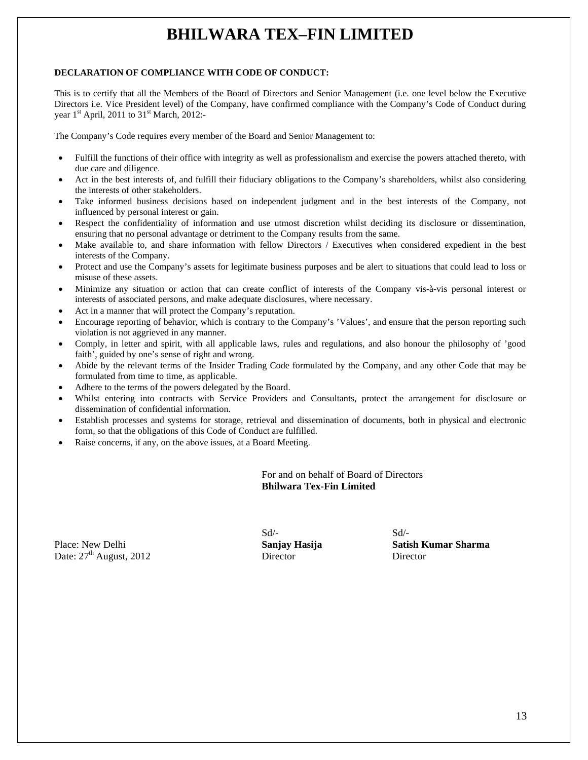#### **DECLARATION OF COMPLIANCE WITH CODE OF CONDUCT:**

This is to certify that all the Members of the Board of Directors and Senior Management (i.e. one level below the Executive Directors i.e. Vice President level) of the Company, have confirmed compliance with the Company's Code of Conduct during year  $1<sup>st</sup>$  April, 2011 to  $31<sup>st</sup>$  March, 2012:-

The Company's Code requires every member of the Board and Senior Management to:

- Fulfill the functions of their office with integrity as well as professionalism and exercise the powers attached thereto, with due care and diligence.
- Act in the best interests of, and fulfill their fiduciary obligations to the Company's shareholders, whilst also considering the interests of other stakeholders.
- Take informed business decisions based on independent judgment and in the best interests of the Company, not influenced by personal interest or gain.
- Respect the confidentiality of information and use utmost discretion whilst deciding its disclosure or dissemination, ensuring that no personal advantage or detriment to the Company results from the same.
- Make available to, and share information with fellow Directors / Executives when considered expedient in the best interests of the Company.
- Protect and use the Company's assets for legitimate business purposes and be alert to situations that could lead to loss or misuse of these assets.
- Minimize any situation or action that can create conflict of interests of the Company vis-à-vis personal interest or interests of associated persons, and make adequate disclosures, where necessary.
- Act in a manner that will protect the Company's reputation.
- Encourage reporting of behavior, which is contrary to the Company's 'Values', and ensure that the person reporting such violation is not aggrieved in any manner.
- Comply, in letter and spirit, with all applicable laws, rules and regulations, and also honour the philosophy of 'good faith', guided by one's sense of right and wrong.
- Abide by the relevant terms of the Insider Trading Code formulated by the Company, and any other Code that may be formulated from time to time, as applicable.
- Adhere to the terms of the powers delegated by the Board.
- Whilst entering into contracts with Service Providers and Consultants, protect the arrangement for disclosure or dissemination of confidential information.
- Establish processes and systems for storage, retrieval and dissemination of documents, both in physical and electronic form, so that the obligations of this Code of Conduct are fulfilled.
- Raise concerns, if any, on the above issues, at a Board Meeting.

 For and on behalf of Board of Directors **Bhilwara Tex-Fin Limited** 

Place: New Delhi Date:  $27<sup>th</sup>$  August, 2012

Sd/- **Sanjay Hasija Director** 

Sd/- **Satish Kumar Sharma Director**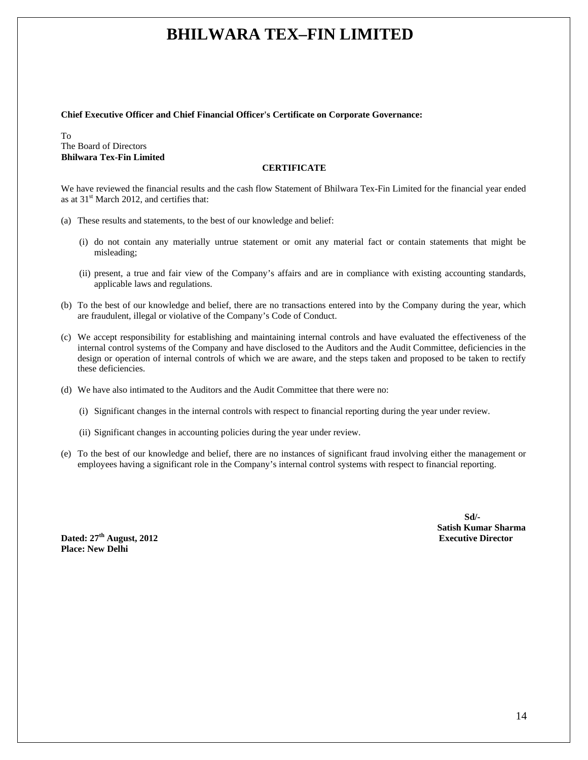#### **Chief Executive Officer and Chief Financial Officer's Certificate on Corporate Governance:**

To The Board of Directors  **Bhilwara Tex-Fin Limited** 

#### **CERTIFICATE**

We have reviewed the financial results and the cash flow Statement of Bhilwara Tex-Fin Limited for the financial year ended as at  $31<sup>st</sup>$  March 2012, and certifies that:

- (a) These results and statements, to the best of our knowledge and belief:
	- (i) do not contain any materially untrue statement or omit any material fact or contain statements that might be misleading;
	- (ii) present, a true and fair view of the Company's affairs and are in compliance with existing accounting standards, applicable laws and regulations.
- (b) To the best of our knowledge and belief, there are no transactions entered into by the Company during the year, which are fraudulent, illegal or violative of the Company's Code of Conduct.
- (c) We accept responsibility for establishing and maintaining internal controls and have evaluated the effectiveness of the internal control systems of the Company and have disclosed to the Auditors and the Audit Committee, deficiencies in the design or operation of internal controls of which we are aware, and the steps taken and proposed to be taken to rectify these deficiencies.
- (d) We have also intimated to the Auditors and the Audit Committee that there were no:
	- (i) Significant changes in the internal controls with respect to financial reporting during the year under review.
	- (ii) Significant changes in accounting policies during the year under review.
- (e) To the best of our knowledge and belief, there are no instances of significant fraud involving either the management or employees having a significant role in the Company's internal control systems with respect to financial reporting.

**Sd/- Satish Kumar Sharma** 

**Dated: 27<sup>th</sup> August, 2012 Place: New Delhi**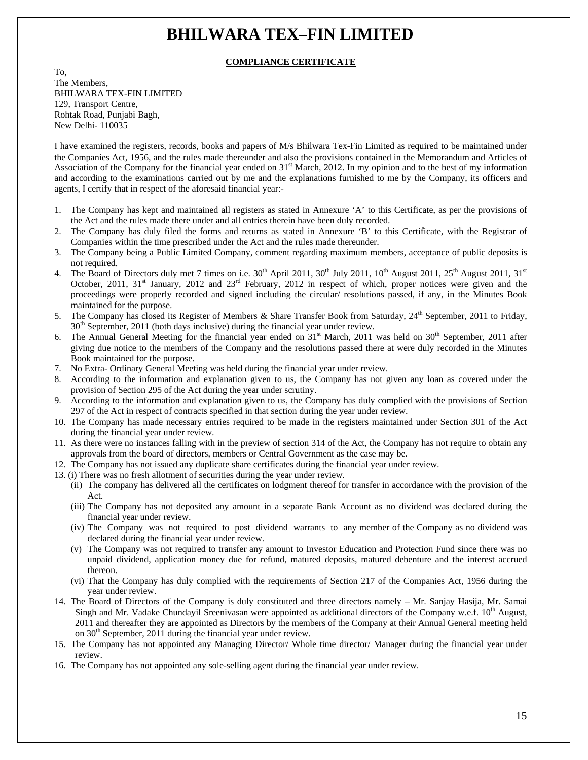#### **COMPLIANCE CERTIFICATE**

To, The Members, BHILWARA TEX-FIN LIMITED 129, Transport Centre, Rohtak Road, Punjabi Bagh, New Delhi- 110035

I have examined the registers, records, books and papers of M/s Bhilwara Tex-Fin Limited as required to be maintained under the Companies Act, 1956, and the rules made thereunder and also the provisions contained in the Memorandum and Articles of Association of the Company for the financial year ended on  $31<sup>st</sup>$  March, 2012. In my opinion and to the best of my information and according to the examinations carried out by me and the explanations furnished to me by the Company, its officers and agents, I certify that in respect of the aforesaid financial year:-

- 1. The Company has kept and maintained all registers as stated in Annexure 'A' to this Certificate, as per the provisions of the Act and the rules made there under and all entries therein have been duly recorded.
- 2. The Company has duly filed the forms and returns as stated in Annexure 'B' to this Certificate, with the Registrar of Companies within the time prescribed under the Act and the rules made thereunder.
- 3. The Company being a Public Limited Company, comment regarding maximum members, acceptance of public deposits is not required.
- 4. The Board of Directors duly met 7 times on i.e.  $30^{th}$  April 2011,  $30^{th}$  July 2011,  $10^{th}$  August 2011,  $25^{th}$  August 2011,  $31^{st}$ October, 2011, 31<sup>st</sup> January, 2012 and 23<sup>rd</sup> February, 2012 in respect of which, proper notices were given and the proceedings were properly recorded and signed including the circular/ resolutions passed, if any, in the Minutes Book maintained for the purpose.
- 5. The Company has closed its Register of Members & Share Transfer Book from Saturday, 24<sup>th</sup> September, 2011 to Friday,  $30<sup>th</sup>$  September, 2011 (both days inclusive) during the financial year under review.
- 6. The Annual General Meeting for the financial year ended on  $31<sup>st</sup>$  March, 2011 was held on  $30<sup>th</sup>$  September, 2011 after giving due notice to the members of the Company and the resolutions passed there at were duly recorded in the Minutes Book maintained for the purpose.
- 7. No Extra- Ordinary General Meeting was held during the financial year under review.
- 8. According to the information and explanation given to us, the Company has not given any loan as covered under the provision of Section 295 of the Act during the year under scrutiny.
- 9. According to the information and explanation given to us, the Company has duly complied with the provisions of Section 297 of the Act in respect of contracts specified in that section during the year under review.
- 10. The Company has made necessary entries required to be made in the registers maintained under Section 301 of the Act during the financial year under review.
- 11. As there were no instances falling with in the preview of section 314 of the Act, the Company has not require to obtain any approvals from the board of directors, members or Central Government as the case may be.
- 12. The Company has not issued any duplicate share certificates during the financial year under review.
- 13. (i) There was no fresh allotment of securities during the year under review.
	- (ii) The company has delivered all the certificates on lodgment thereof for transfer in accordance with the provision of the Act.
	- (iii) The Company has not deposited any amount in a separate Bank Account as no dividend was declared during the financial year under review.
	- (iv) The Company was not required to post dividend warrants to any member of the Company as no dividend was declared during the financial year under review.
	- (v) The Company was not required to transfer any amount to Investor Education and Protection Fund since there was no unpaid dividend, application money due for refund, matured deposits, matured debenture and the interest accrued thereon.
	- (vi) That the Company has duly complied with the requirements of Section 217 of the Companies Act, 1956 during the year under review.
- 14. The Board of Directors of the Company is duly constituted and three directors namely Mr. Sanjay Hasija, Mr. Samai Singh and Mr. Vadake Chundayil Sreenivasan were appointed as additional directors of the Company w.e.f. 10<sup>th</sup> August, 2011 and thereafter they are appointed as Directors by the members of the Company at their Annual General meeting held on 30<sup>th</sup> September, 2011 during the financial year under review.
- 15. The Company has not appointed any Managing Director/ Whole time director/ Manager during the financial year under review.
- 16. The Company has not appointed any sole-selling agent during the financial year under review.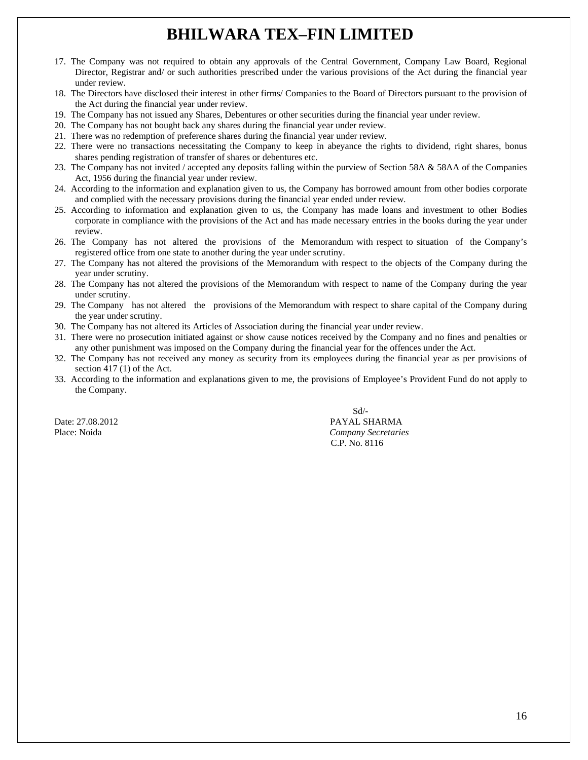- 17. The Company was not required to obtain any approvals of the Central Government, Company Law Board, Regional Director, Registrar and/ or such authorities prescribed under the various provisions of the Act during the financial year under review.
- 18. The Directors have disclosed their interest in other firms/ Companies to the Board of Directors pursuant to the provision of the Act during the financial year under review.
- 19. The Company has not issued any Shares, Debentures or other securities during the financial year under review.
- 20. The Company has not bought back any shares during the financial year under review.
- 21. There was no redemption of preference shares during the financial year under review.
- 22. There were no transactions necessitating the Company to keep in abeyance the rights to dividend, right shares, bonus shares pending registration of transfer of shares or debentures etc.
- 23. The Company has not invited / accepted any deposits falling within the purview of Section 58A & 58AA of the Companies Act, 1956 during the financial year under review.
- 24. According to the information and explanation given to us, the Company has borrowed amount from other bodies corporate and complied with the necessary provisions during the financial year ended under review.
- 25. According to information and explanation given to us, the Company has made loans and investment to other Bodies corporate in compliance with the provisions of the Act and has made necessary entries in the books during the year under review.
- 26. The Company has not altered the provisions of the Memorandum with respect to situation of the Company's registered office from one state to another during the year under scrutiny.
- 27. The Company has not altered the provisions of the Memorandum with respect to the objects of the Company during the year under scrutiny.
- 28. The Company has not altered the provisions of the Memorandum with respect to name of the Company during the year under scrutiny.
- 29. The Company has not altered the provisions of the Memorandum with respect to share capital of the Company during the year under scrutiny.
- 30. The Company has not altered its Articles of Association during the financial year under review.
- 31. There were no prosecution initiated against or show cause notices received by the Company and no fines and penalties or any other punishment was imposed on the Company during the financial year for the offences under the Act.
- 32. The Company has not received any money as security from its employees during the financial year as per provisions of section 417 (1) of the Act.
- 33. According to the information and explanations given to me, the provisions of Employee's Provident Fund do not apply to the Company.

Sd/- Date: 27.08.2012 PAYAL SHARMA Place: Noida *Company Secretaries*  C.P. No. 8116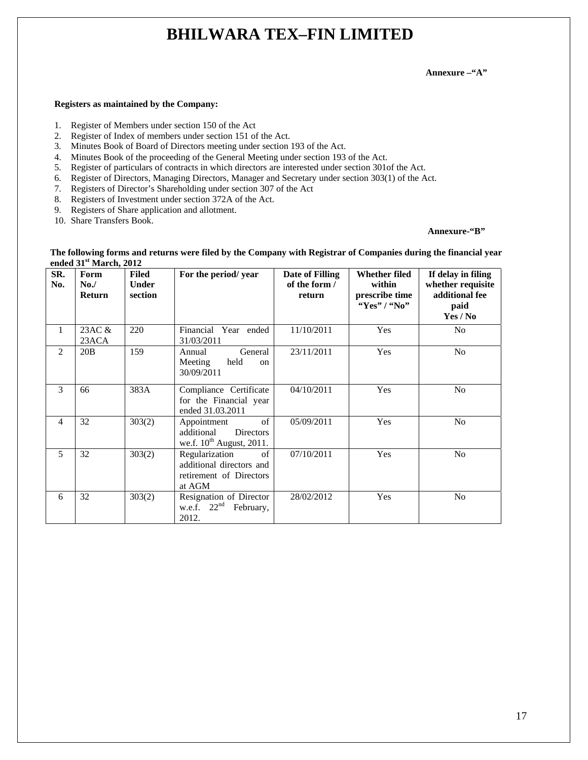#### **Annexure –"A"**

#### **Registers as maintained by the Company:**

- 1. Register of Members under section 150 of the Act
- 2. Register of Index of members under section 151 of the Act.
- 3. Minutes Book of Board of Directors meeting under section 193 of the Act.
- 4. Minutes Book of the proceeding of the General Meeting under section 193 of the Act.
- 5. Register of particulars of contracts in which directors are interested under section 301of the Act.
- 6. Register of Directors, Managing Directors, Manager and Secretary under section 303(1) of the Act.
- 7. Registers of Director's Shareholding under section 307 of the Act
- 8. Registers of Investment under section 372A of the Act.
- 9. Registers of Share application and allotment.
- 10. Share Transfers Book.

**Annexure-"B"**

#### **The following forms and returns were filed by the Company with Registrar of Companies during the financial year ended 31st March, 2012**

| SR.<br>No.     | Form<br>No.<br>Return | <b>Filed</b><br><b>Under</b><br>section | For the period/year                                                                   | Date of Filling<br>of the form /<br>return | Whether filed<br>within<br>prescribe time<br>"Yes" / "No" | If delay in filing<br>whether requisite<br>additional fee<br>paid<br>Yes / No |
|----------------|-----------------------|-----------------------------------------|---------------------------------------------------------------------------------------|--------------------------------------------|-----------------------------------------------------------|-------------------------------------------------------------------------------|
| 1              | 23AC &<br>23ACA       | 220                                     | Financial Year ended<br>31/03/2011                                                    | 11/10/2011                                 | Yes                                                       | N <sub>o</sub>                                                                |
| 2              | 20B                   | 159                                     | Annual<br>General<br>Meeting<br>held<br><sub>on</sub><br>30/09/2011                   | 23/11/2011                                 | Yes                                                       | N <sub>0</sub>                                                                |
| 3              | 66                    | 383A                                    | Compliance Certificate<br>for the Financial year<br>ended 31.03.2011                  | 04/10/2011                                 | Yes                                                       | N <sub>0</sub>                                                                |
| $\overline{4}$ | 32                    | 303(2)                                  | Appointment<br>of<br>additional<br>Directors<br>we.f. 10 <sup>th</sup> August, 2011.  | 05/09/2011                                 | Yes                                                       | N <sub>o</sub>                                                                |
| 5              | 32                    | 303(2)                                  | Regularization<br>of<br>additional directors and<br>retirement of Directors<br>at AGM | 07/10/2011                                 | Yes                                                       | N <sub>0</sub>                                                                |
| 6              | 32                    | 303(2)                                  | Resignation of Director<br>22 <sup>nd</sup><br>w.e.f.<br>February,<br>2012.           | 28/02/2012                                 | Yes                                                       | N <sub>o</sub>                                                                |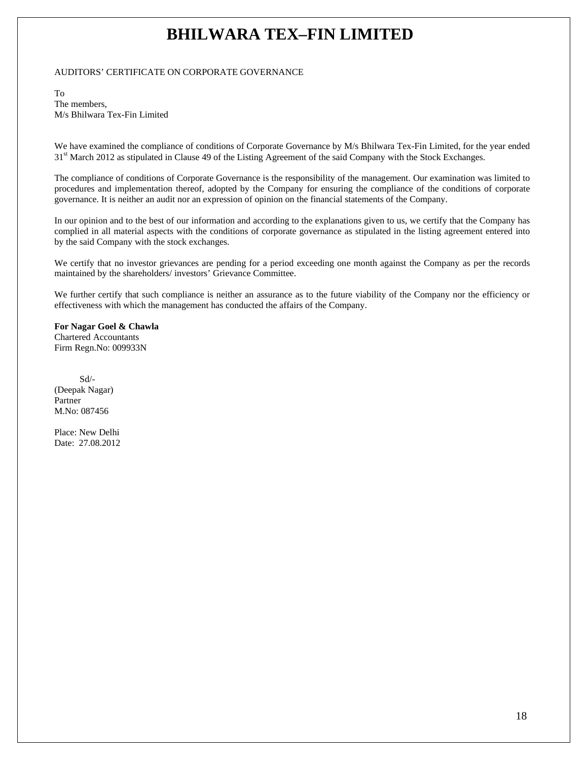#### AUDITORS' CERTIFICATE ON CORPORATE GOVERNANCE

To The members, M/s Bhilwara Tex-Fin Limited

We have examined the compliance of conditions of Corporate Governance by M/s Bhilwara Tex-Fin Limited, for the year ended 31<sup>st</sup> March 2012 as stipulated in Clause 49 of the Listing Agreement of the said Company with the Stock Exchanges.

The compliance of conditions of Corporate Governance is the responsibility of the management. Our examination was limited to procedures and implementation thereof, adopted by the Company for ensuring the compliance of the conditions of corporate governance. It is neither an audit nor an expression of opinion on the financial statements of the Company.

In our opinion and to the best of our information and according to the explanations given to us, we certify that the Company has complied in all material aspects with the conditions of corporate governance as stipulated in the listing agreement entered into by the said Company with the stock exchanges.

We certify that no investor grievances are pending for a period exceeding one month against the Company as per the records maintained by the shareholders/ investors' Grievance Committee.

We further certify that such compliance is neither an assurance as to the future viability of the Company nor the efficiency or effectiveness with which the management has conducted the affairs of the Company.

**For Nagar Goel & Chawla**  Chartered Accountants Firm Regn.No: 009933N

 Sd/- (Deepak Nagar) Partner M.No: 087456

Place: New Delhi Date: 27.08.2012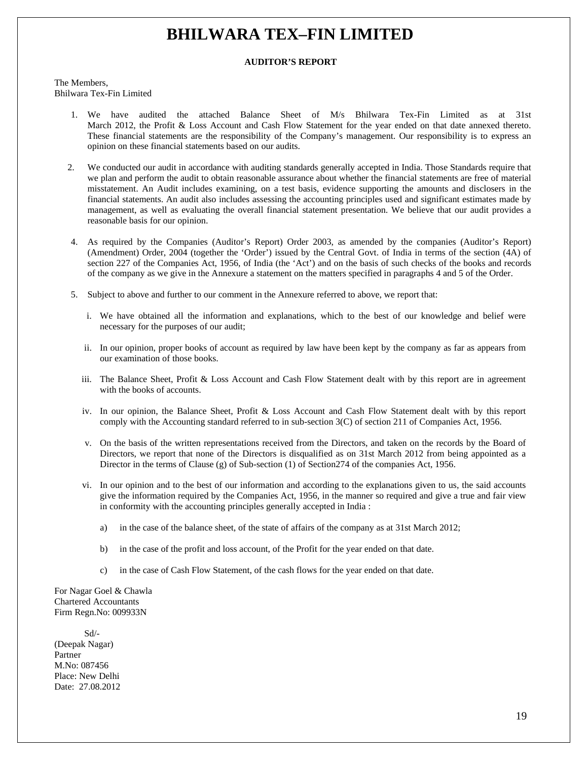#### **AUDITOR'S REPORT**

The Members, Bhilwara Tex-Fin Limited

- 1. We have audited the attached Balance Sheet of M/s Bhilwara Tex-Fin Limited as at 31st March 2012, the Profit & Loss Account and Cash Flow Statement for the year ended on that date annexed thereto. These financial statements are the responsibility of the Company's management. Our responsibility is to express an opinion on these financial statements based on our audits.
- 2. We conducted our audit in accordance with auditing standards generally accepted in India. Those Standards require that we plan and perform the audit to obtain reasonable assurance about whether the financial statements are free of material misstatement. An Audit includes examining, on a test basis, evidence supporting the amounts and disclosers in the financial statements. An audit also includes assessing the accounting principles used and significant estimates made by management, as well as evaluating the overall financial statement presentation. We believe that our audit provides a reasonable basis for our opinion.
- 4. As required by the Companies (Auditor's Report) Order 2003, as amended by the companies (Auditor's Report) (Amendment) Order, 2004 (together the 'Order') issued by the Central Govt. of India in terms of the section (4A) of section 227 of the Companies Act, 1956, of India (the 'Act') and on the basis of such checks of the books and records of the company as we give in the Annexure a statement on the matters specified in paragraphs 4 and 5 of the Order.
- 5. Subject to above and further to our comment in the Annexure referred to above, we report that:
	- i. We have obtained all the information and explanations, which to the best of our knowledge and belief were necessary for the purposes of our audit;
	- ii. In our opinion, proper books of account as required by law have been kept by the company as far as appears from our examination of those books.
	- iii. The Balance Sheet, Profit & Loss Account and Cash Flow Statement dealt with by this report are in agreement with the books of accounts.
	- iv. In our opinion, the Balance Sheet, Profit & Loss Account and Cash Flow Statement dealt with by this report comply with the Accounting standard referred to in sub-section 3(C) of section 211 of Companies Act, 1956.
	- v. On the basis of the written representations received from the Directors, and taken on the records by the Board of Directors, we report that none of the Directors is disqualified as on 31st March 2012 from being appointed as a Director in the terms of Clause (g) of Sub-section (1) of Section274 of the companies Act, 1956.
	- vi. In our opinion and to the best of our information and according to the explanations given to us, the said accounts give the information required by the Companies Act, 1956, in the manner so required and give a true and fair view in conformity with the accounting principles generally accepted in India :
		- a) in the case of the balance sheet, of the state of affairs of the company as at 31st March 2012;
		- b) in the case of the profit and loss account, of the Profit for the year ended on that date.
		- c) in the case of Cash Flow Statement, of the cash flows for the year ended on that date.

For Nagar Goel & Chawla Chartered Accountants Firm Regn.No: 009933N

 Sd/- (Deepak Nagar) Partner M.No: 087456 Place: New Delhi Date: 27.08.2012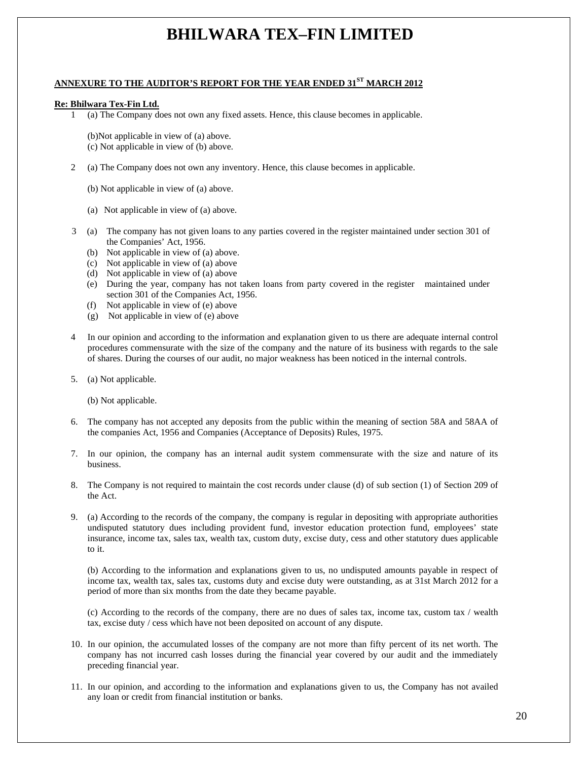#### **ANNEXURE TO THE AUDITOR'S REPORT FOR THE YEAR ENDED 31ST MARCH 2012**

#### **Re: Bhilwara Tex-Fin Ltd.**

- 1 (a) The Company does not own any fixed assets. Hence, this clause becomes in applicable.
	- (b)Not applicable in view of (a) above.
	- (c) Not applicable in view of (b) above.
- 2 (a) The Company does not own any inventory. Hence, this clause becomes in applicable.
	- (b) Not applicable in view of (a) above.
	- (a) Not applicable in view of (a) above.
- 3 (a) The company has not given loans to any parties covered in the register maintained under section 301 of the Companies' Act, 1956.
	- (b) Not applicable in view of (a) above.
	- (c) Not applicable in view of (a) above
	- (d) Not applicable in view of (a) above
	- (e) During the year, company has not taken loans from party covered in the register maintained under section 301 of the Companies Act, 1956.
	- (f) Not applicable in view of (e) above
	- (g) Not applicable in view of (e) above
- In our opinion and according to the information and explanation given to us there are adequate internal control procedures commensurate with the size of the company and the nature of its business with regards to the sale of shares. During the courses of our audit, no major weakness has been noticed in the internal controls.
- 5. (a) Not applicable.

(b) Not applicable.

- 6. The company has not accepted any deposits from the public within the meaning of section 58A and 58AA of the companies Act, 1956 and Companies (Acceptance of Deposits) Rules, 1975.
- 7. In our opinion, the company has an internal audit system commensurate with the size and nature of its business.
- 8. The Company is not required to maintain the cost records under clause (d) of sub section (1) of Section 209 of the Act.
- 9. (a) According to the records of the company, the company is regular in depositing with appropriate authorities undisputed statutory dues including provident fund, investor education protection fund, employees' state insurance, income tax, sales tax, wealth tax, custom duty, excise duty, cess and other statutory dues applicable to it.

(b) According to the information and explanations given to us, no undisputed amounts payable in respect of income tax, wealth tax, sales tax, customs duty and excise duty were outstanding, as at 31st March 2012 for a period of more than six months from the date they became payable.

(c) According to the records of the company, there are no dues of sales tax, income tax, custom tax / wealth tax, excise duty / cess which have not been deposited on account of any dispute.

- 10. In our opinion, the accumulated losses of the company are not more than fifty percent of its net worth. The company has not incurred cash losses during the financial year covered by our audit and the immediately preceding financial year.
- 11. In our opinion, and according to the information and explanations given to us, the Company has not availed any loan or credit from financial institution or banks.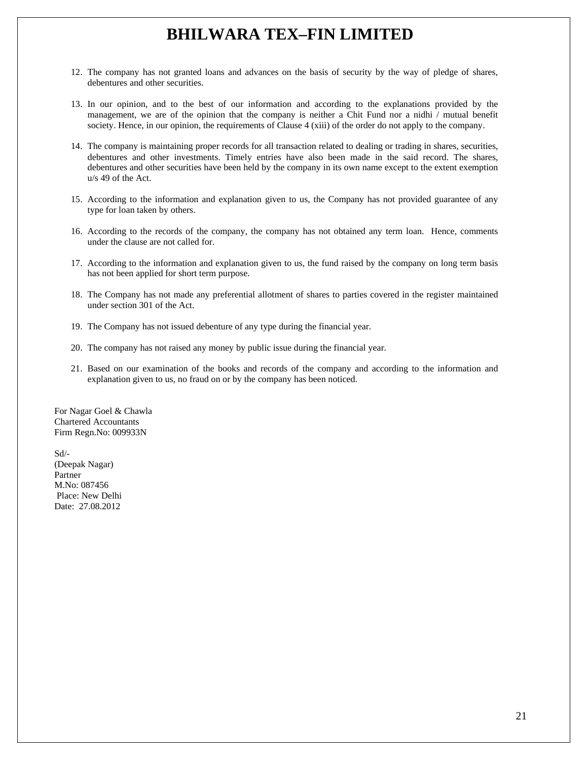- 12. The company has not granted loans and advances on the basis of security by the way of pledge of shares, debentures and other securities.
- 13. In our opinion, and to the best of our information and according to the explanations provided by the management, we are of the opinion that the company is neither a Chit Fund nor a nidhi / mutual benefit society. Hence, in our opinion, the requirements of Clause 4 (xiii) of the order do not apply to the company.
- 14. The company is maintaining proper records for all transaction related to dealing or trading in shares, securities, debentures and other investments. Timely entries have also been made in the said record. The shares, debentures and other securities have been held by the company in its own name except to the extent exemption u/s 49 of the Act.
- 15. According to the information and explanation given to us, the Company has not provided guarantee of any type for loan taken by others.
- 16. According to the records of the company, the company has not obtained any term loan. Hence, comments under the clause are not called for.
- 17. According to the information and explanation given to us, the fund raised by the company on long term basis has not been applied for short term purpose.
- 18. The Company has not made any preferential allotment of shares to parties covered in the register maintained under section 301 of the Act.
- 19. The Company has not issued debenture of any type during the financial year.
- 20. The company has not raised any money by public issue during the financial year.
- 21. Based on our examination of the books and records of the company and according to the information and explanation given to us, no fraud on or by the company has been noticed.

For Nagar Goel & Chawla Chartered Accountants Firm Regn.No: 009933N

Sd/- (Deepak Nagar) Partner M.No: 087456 Place: New Delhi Date: 27.08.2012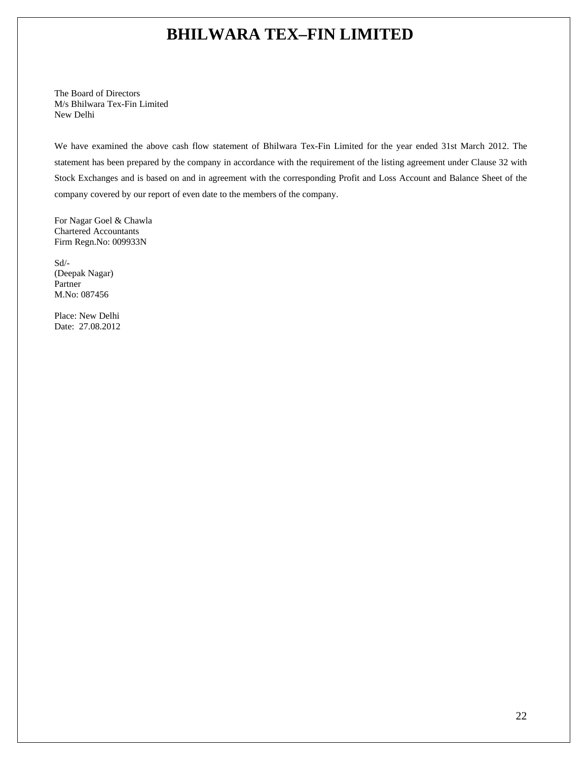The Board of Directors M/s Bhilwara Tex-Fin Limited New Delhi

We have examined the above cash flow statement of Bhilwara Tex-Fin Limited for the year ended 31st March 2012. The statement has been prepared by the company in accordance with the requirement of the listing agreement under Clause 32 with Stock Exchanges and is based on and in agreement with the corresponding Profit and Loss Account and Balance Sheet of the company covered by our report of even date to the members of the company.

For Nagar Goel & Chawla Chartered Accountants Firm Regn.No: 009933N

Sd/- (Deepak Nagar) Partner M.No: 087456

Place: New Delhi Date: 27.08.2012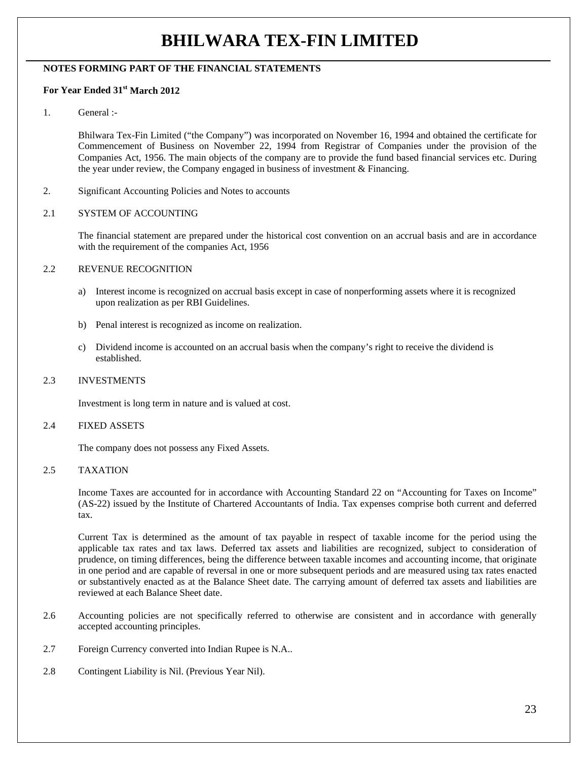#### **NOTES FORMING PART OF THE FINANCIAL STATEMENTS**

#### **For Year Ended 31st March 2012**

1. General :-

Bhilwara Tex-Fin Limited ("the Company") was incorporated on November 16, 1994 and obtained the certificate for Commencement of Business on November 22, 1994 from Registrar of Companies under the provision of the Companies Act, 1956. The main objects of the company are to provide the fund based financial services etc. During the year under review, the Company engaged in business of investment  $&$  Financing.

2. Significant Accounting Policies and Notes to accounts

#### 2.1 SYSTEM OF ACCOUNTING

The financial statement are prepared under the historical cost convention on an accrual basis and are in accordance with the requirement of the companies Act, 1956

#### 2.2 REVENUE RECOGNITION

- a) Interest income is recognized on accrual basis except in case of nonperforming assets where it is recognized upon realization as per RBI Guidelines.
- b) Penal interest is recognized as income on realization.
- c) Dividend income is accounted on an accrual basis when the company's right to receive the dividend is established.

#### 2.3 INVESTMENTS

Investment is long term in nature and is valued at cost.

#### 2.4 FIXED ASSETS

The company does not possess any Fixed Assets.

#### 2.5 TAXATION

Income Taxes are accounted for in accordance with Accounting Standard 22 on "Accounting for Taxes on Income" (AS-22) issued by the Institute of Chartered Accountants of India. Tax expenses comprise both current and deferred tax.

Current Tax is determined as the amount of tax payable in respect of taxable income for the period using the applicable tax rates and tax laws. Deferred tax assets and liabilities are recognized, subject to consideration of prudence, on timing differences, being the difference between taxable incomes and accounting income, that originate in one period and are capable of reversal in one or more subsequent periods and are measured using tax rates enacted or substantively enacted as at the Balance Sheet date. The carrying amount of deferred tax assets and liabilities are reviewed at each Balance Sheet date.

- 2.6 Accounting policies are not specifically referred to otherwise are consistent and in accordance with generally accepted accounting principles.
- 2.7 Foreign Currency converted into Indian Rupee is N.A..
- 2.8 Contingent Liability is Nil. (Previous Year Nil).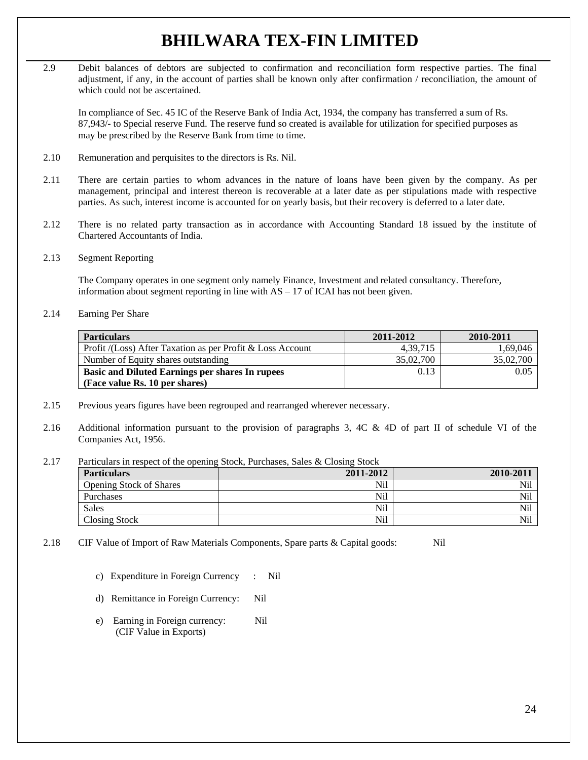2.9 Debit balances of debtors are subjected to confirmation and reconciliation form respective parties. The final adjustment, if any, in the account of parties shall be known only after confirmation / reconciliation, the amount of which could not be ascertained.

In compliance of Sec. 45 IC of the Reserve Bank of India Act, 1934, the company has transferred a sum of Rs. 87,943/- to Special reserve Fund. The reserve fund so created is available for utilization for specified purposes as may be prescribed by the Reserve Bank from time to time.

- 2.10 Remuneration and perquisites to the directors is Rs. Nil.
- 2.11 There are certain parties to whom advances in the nature of loans have been given by the company. As per management, principal and interest thereon is recoverable at a later date as per stipulations made with respective parties. As such, interest income is accounted for on yearly basis, but their recovery is deferred to a later date.
- 2.12 There is no related party transaction as in accordance with Accounting Standard 18 issued by the institute of Chartered Accountants of India.
- 2.13 Segment Reporting

The Company operates in one segment only namely Finance, Investment and related consultancy. Therefore, information about segment reporting in line with AS – 17 of ICAI has not been given.

2.14 Earning Per Share

| <b>Particulars</b>                                         | 2011-2012 | 2010-2011 |
|------------------------------------------------------------|-----------|-----------|
| Profit /(Loss) After Taxation as per Profit & Loss Account | 4,39,715  | 1,69,046  |
| Number of Equity shares outstanding                        | 35,02,700 | 35,02,700 |
| <b>Basic and Diluted Earnings per shares In rupees</b>     | 0.13      | 0.05      |
| (Face value Rs. 10 per shares)                             |           |           |

- 2.15 Previous years figures have been regrouped and rearranged wherever necessary.
- 2.16 Additional information pursuant to the provision of paragraphs 3, 4C & 4D of part II of schedule VI of the Companies Act, 1956.
- 2.17 Particulars in respect of the opening Stock, Purchases, Sales & Closing Stock

| <b>Particulars</b>             | 2011-2012 | 2010-2011 |
|--------------------------------|-----------|-----------|
| <b>Opening Stock of Shares</b> | Nil       | Nil       |
| Purchases                      | Nil       | Nil       |
| <b>Sales</b>                   | Nil       | Nil       |
| Closing Stock                  | Nil       | Nil       |

- 2.18 CIF Value of Import of Raw Materials Components, Spare parts & Capital goods: Nil
	- c) Expenditure in Foreign Currency : Nil
	- d) Remittance in Foreign Currency: Nil
	- e) Earning in Foreign currency: Nil (CIF Value in Exports)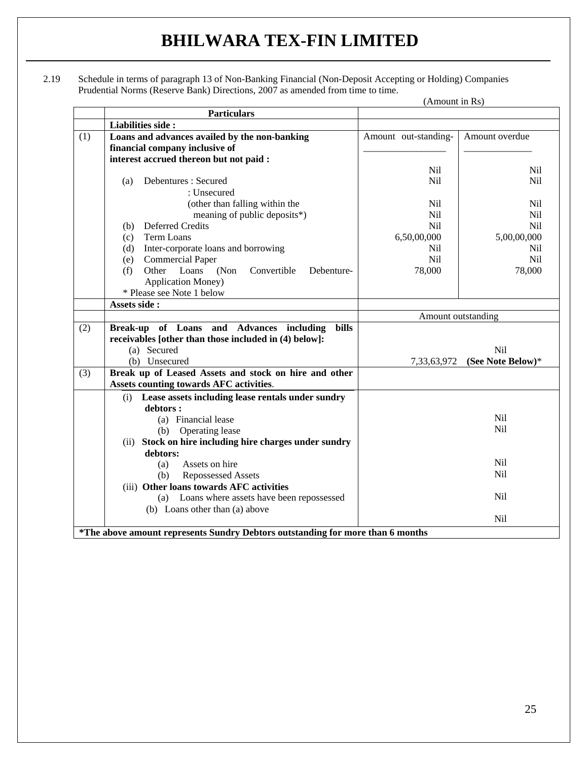2.19 Schedule in terms of paragraph 13 of Non-Banking Financial (Non-Deposit Accepting or Holding) Companies Prudential Norms (Reserve Bank) Directions, 2007 as amended from time to time.

| <b>Particulars</b><br>Liabilities side:<br>(1)<br>Loans and advances availed by the non-banking<br>Amount overdue<br>Amount out-standing-<br>financial company inclusive of<br>interest accrued thereon but not paid:<br>Nil<br><b>Nil</b><br>Debentures : Secured<br><b>Nil</b><br><b>Nil</b><br>(a)<br>: Unsecured<br>(other than falling within the<br>Nil<br><b>Nil</b><br><b>Nil</b><br>meaning of public deposits*)<br><b>Nil</b><br><b>Nil</b><br>Deferred Credits<br><b>Nil</b><br>(b)<br>6,50,00,000<br>5,00,00,000<br>Term Loans<br>(c)<br>Inter-corporate loans and borrowing<br><b>Nil</b><br>Nil<br>(d)<br><b>Commercial Paper</b><br><b>Nil</b><br><b>Nil</b><br>(e)<br>Other<br>Loans (Non<br>(f)<br>Convertible<br>78,000<br>78,000<br>Debenture-<br><b>Application Money)</b><br>* Please see Note 1 below<br><b>Assets side:</b><br>Amount outstanding<br>(2)<br>Break-up of Loans and Advances including<br>bills<br>receivables [other than those included in (4) below]:<br>(a) Secured<br><b>Nil</b><br>(See Note Below)*<br>(b) Unsecured<br>7,33,63,972<br>Break up of Leased Assets and stock on hire and other<br>(3)<br>Assets counting towards AFC activities.<br>Lease assets including lease rentals under sundry<br>(i)<br>debtors:<br>Nil<br>(a) Financial lease<br>Nil<br>(b) Operating lease<br>(ii) Stock on hire including hire charges under sundry<br>debtors:<br>Nil<br>Assets on hire<br>(a)<br>Nil<br>Repossessed Assets<br>(b) |                                          | (Amount in Rs) |  |  |
|--------------------------------------------------------------------------------------------------------------------------------------------------------------------------------------------------------------------------------------------------------------------------------------------------------------------------------------------------------------------------------------------------------------------------------------------------------------------------------------------------------------------------------------------------------------------------------------------------------------------------------------------------------------------------------------------------------------------------------------------------------------------------------------------------------------------------------------------------------------------------------------------------------------------------------------------------------------------------------------------------------------------------------------------------------------------------------------------------------------------------------------------------------------------------------------------------------------------------------------------------------------------------------------------------------------------------------------------------------------------------------------------------------------------------------------------------------------------------|------------------------------------------|----------------|--|--|
|                                                                                                                                                                                                                                                                                                                                                                                                                                                                                                                                                                                                                                                                                                                                                                                                                                                                                                                                                                                                                                                                                                                                                                                                                                                                                                                                                                                                                                                                          |                                          |                |  |  |
|                                                                                                                                                                                                                                                                                                                                                                                                                                                                                                                                                                                                                                                                                                                                                                                                                                                                                                                                                                                                                                                                                                                                                                                                                                                                                                                                                                                                                                                                          |                                          |                |  |  |
|                                                                                                                                                                                                                                                                                                                                                                                                                                                                                                                                                                                                                                                                                                                                                                                                                                                                                                                                                                                                                                                                                                                                                                                                                                                                                                                                                                                                                                                                          |                                          |                |  |  |
|                                                                                                                                                                                                                                                                                                                                                                                                                                                                                                                                                                                                                                                                                                                                                                                                                                                                                                                                                                                                                                                                                                                                                                                                                                                                                                                                                                                                                                                                          |                                          |                |  |  |
|                                                                                                                                                                                                                                                                                                                                                                                                                                                                                                                                                                                                                                                                                                                                                                                                                                                                                                                                                                                                                                                                                                                                                                                                                                                                                                                                                                                                                                                                          |                                          |                |  |  |
|                                                                                                                                                                                                                                                                                                                                                                                                                                                                                                                                                                                                                                                                                                                                                                                                                                                                                                                                                                                                                                                                                                                                                                                                                                                                                                                                                                                                                                                                          |                                          |                |  |  |
|                                                                                                                                                                                                                                                                                                                                                                                                                                                                                                                                                                                                                                                                                                                                                                                                                                                                                                                                                                                                                                                                                                                                                                                                                                                                                                                                                                                                                                                                          |                                          |                |  |  |
|                                                                                                                                                                                                                                                                                                                                                                                                                                                                                                                                                                                                                                                                                                                                                                                                                                                                                                                                                                                                                                                                                                                                                                                                                                                                                                                                                                                                                                                                          |                                          |                |  |  |
|                                                                                                                                                                                                                                                                                                                                                                                                                                                                                                                                                                                                                                                                                                                                                                                                                                                                                                                                                                                                                                                                                                                                                                                                                                                                                                                                                                                                                                                                          |                                          |                |  |  |
|                                                                                                                                                                                                                                                                                                                                                                                                                                                                                                                                                                                                                                                                                                                                                                                                                                                                                                                                                                                                                                                                                                                                                                                                                                                                                                                                                                                                                                                                          |                                          |                |  |  |
|                                                                                                                                                                                                                                                                                                                                                                                                                                                                                                                                                                                                                                                                                                                                                                                                                                                                                                                                                                                                                                                                                                                                                                                                                                                                                                                                                                                                                                                                          |                                          |                |  |  |
|                                                                                                                                                                                                                                                                                                                                                                                                                                                                                                                                                                                                                                                                                                                                                                                                                                                                                                                                                                                                                                                                                                                                                                                                                                                                                                                                                                                                                                                                          |                                          |                |  |  |
|                                                                                                                                                                                                                                                                                                                                                                                                                                                                                                                                                                                                                                                                                                                                                                                                                                                                                                                                                                                                                                                                                                                                                                                                                                                                                                                                                                                                                                                                          |                                          |                |  |  |
|                                                                                                                                                                                                                                                                                                                                                                                                                                                                                                                                                                                                                                                                                                                                                                                                                                                                                                                                                                                                                                                                                                                                                                                                                                                                                                                                                                                                                                                                          |                                          |                |  |  |
|                                                                                                                                                                                                                                                                                                                                                                                                                                                                                                                                                                                                                                                                                                                                                                                                                                                                                                                                                                                                                                                                                                                                                                                                                                                                                                                                                                                                                                                                          |                                          |                |  |  |
|                                                                                                                                                                                                                                                                                                                                                                                                                                                                                                                                                                                                                                                                                                                                                                                                                                                                                                                                                                                                                                                                                                                                                                                                                                                                                                                                                                                                                                                                          |                                          |                |  |  |
|                                                                                                                                                                                                                                                                                                                                                                                                                                                                                                                                                                                                                                                                                                                                                                                                                                                                                                                                                                                                                                                                                                                                                                                                                                                                                                                                                                                                                                                                          |                                          |                |  |  |
|                                                                                                                                                                                                                                                                                                                                                                                                                                                                                                                                                                                                                                                                                                                                                                                                                                                                                                                                                                                                                                                                                                                                                                                                                                                                                                                                                                                                                                                                          |                                          |                |  |  |
|                                                                                                                                                                                                                                                                                                                                                                                                                                                                                                                                                                                                                                                                                                                                                                                                                                                                                                                                                                                                                                                                                                                                                                                                                                                                                                                                                                                                                                                                          |                                          |                |  |  |
|                                                                                                                                                                                                                                                                                                                                                                                                                                                                                                                                                                                                                                                                                                                                                                                                                                                                                                                                                                                                                                                                                                                                                                                                                                                                                                                                                                                                                                                                          |                                          |                |  |  |
|                                                                                                                                                                                                                                                                                                                                                                                                                                                                                                                                                                                                                                                                                                                                                                                                                                                                                                                                                                                                                                                                                                                                                                                                                                                                                                                                                                                                                                                                          |                                          |                |  |  |
|                                                                                                                                                                                                                                                                                                                                                                                                                                                                                                                                                                                                                                                                                                                                                                                                                                                                                                                                                                                                                                                                                                                                                                                                                                                                                                                                                                                                                                                                          |                                          |                |  |  |
|                                                                                                                                                                                                                                                                                                                                                                                                                                                                                                                                                                                                                                                                                                                                                                                                                                                                                                                                                                                                                                                                                                                                                                                                                                                                                                                                                                                                                                                                          |                                          |                |  |  |
|                                                                                                                                                                                                                                                                                                                                                                                                                                                                                                                                                                                                                                                                                                                                                                                                                                                                                                                                                                                                                                                                                                                                                                                                                                                                                                                                                                                                                                                                          |                                          |                |  |  |
|                                                                                                                                                                                                                                                                                                                                                                                                                                                                                                                                                                                                                                                                                                                                                                                                                                                                                                                                                                                                                                                                                                                                                                                                                                                                                                                                                                                                                                                                          |                                          |                |  |  |
|                                                                                                                                                                                                                                                                                                                                                                                                                                                                                                                                                                                                                                                                                                                                                                                                                                                                                                                                                                                                                                                                                                                                                                                                                                                                                                                                                                                                                                                                          |                                          |                |  |  |
|                                                                                                                                                                                                                                                                                                                                                                                                                                                                                                                                                                                                                                                                                                                                                                                                                                                                                                                                                                                                                                                                                                                                                                                                                                                                                                                                                                                                                                                                          |                                          |                |  |  |
|                                                                                                                                                                                                                                                                                                                                                                                                                                                                                                                                                                                                                                                                                                                                                                                                                                                                                                                                                                                                                                                                                                                                                                                                                                                                                                                                                                                                                                                                          |                                          |                |  |  |
|                                                                                                                                                                                                                                                                                                                                                                                                                                                                                                                                                                                                                                                                                                                                                                                                                                                                                                                                                                                                                                                                                                                                                                                                                                                                                                                                                                                                                                                                          |                                          |                |  |  |
|                                                                                                                                                                                                                                                                                                                                                                                                                                                                                                                                                                                                                                                                                                                                                                                                                                                                                                                                                                                                                                                                                                                                                                                                                                                                                                                                                                                                                                                                          |                                          |                |  |  |
|                                                                                                                                                                                                                                                                                                                                                                                                                                                                                                                                                                                                                                                                                                                                                                                                                                                                                                                                                                                                                                                                                                                                                                                                                                                                                                                                                                                                                                                                          |                                          |                |  |  |
|                                                                                                                                                                                                                                                                                                                                                                                                                                                                                                                                                                                                                                                                                                                                                                                                                                                                                                                                                                                                                                                                                                                                                                                                                                                                                                                                                                                                                                                                          |                                          |                |  |  |
|                                                                                                                                                                                                                                                                                                                                                                                                                                                                                                                                                                                                                                                                                                                                                                                                                                                                                                                                                                                                                                                                                                                                                                                                                                                                                                                                                                                                                                                                          | (iii) Other loans towards AFC activities |                |  |  |
| <b>Nil</b><br>Loans where assets have been repossessed<br>(a)                                                                                                                                                                                                                                                                                                                                                                                                                                                                                                                                                                                                                                                                                                                                                                                                                                                                                                                                                                                                                                                                                                                                                                                                                                                                                                                                                                                                            |                                          |                |  |  |
| (b) Loans other than (a) above                                                                                                                                                                                                                                                                                                                                                                                                                                                                                                                                                                                                                                                                                                                                                                                                                                                                                                                                                                                                                                                                                                                                                                                                                                                                                                                                                                                                                                           |                                          |                |  |  |
| Nil                                                                                                                                                                                                                                                                                                                                                                                                                                                                                                                                                                                                                                                                                                                                                                                                                                                                                                                                                                                                                                                                                                                                                                                                                                                                                                                                                                                                                                                                      |                                          |                |  |  |
| *The above amount represents Sundry Debtors outstanding for more than 6 months                                                                                                                                                                                                                                                                                                                                                                                                                                                                                                                                                                                                                                                                                                                                                                                                                                                                                                                                                                                                                                                                                                                                                                                                                                                                                                                                                                                           |                                          |                |  |  |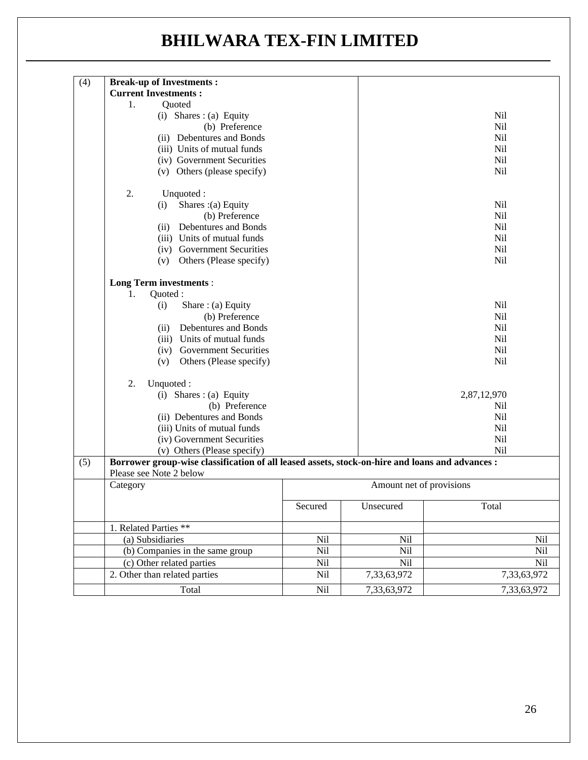| Quoted<br>1.<br>(i) Shares : (a) Equity<br>Nil<br>(b) Preference<br>Nil<br>(ii) Debentures and Bonds<br>Nil<br>(iii) Units of mutual funds<br>Nil<br>(iv) Government Securities<br>Nil<br>Nil<br>(v) Others (please specify)<br>2.<br>Unquoted:<br>Nil<br>Shares: (a) Equity<br>(i)<br>(b) Preference<br>Nil<br>(ii) Debentures and Bonds<br>Nil<br>(iii) Units of mutual funds<br>Nil<br>(iv) Government Securities<br>Nil<br>(v) Others (Please specify)<br>Nil<br><b>Long Term investments:</b><br>Quoted :<br>1.<br>Share: (a) Equity<br>Nil<br>(i)<br>(b) Preference<br>Nil<br>Nil<br>Debentures and Bonds<br>(ii)<br>(iii) Units of mutual funds<br>Nil<br>(iv) Government Securities<br>Nil<br>Others (Please specify)<br>Nil<br>(v)<br>2.<br>Unquoted:<br>$(i)$ Shares : (a) Equity<br>2,87,12,970<br>(b) Preference<br>Nil<br>(ii) Debentures and Bonds<br>Nil<br>(iii) Units of mutual funds<br>Nil<br>(iv) Government Securities<br>Nil<br>(v) Others (Please specify)<br>Nil<br>Borrower group-wise classification of all leased assets, stock-on-hire and loans and advances :<br>Please see Note 2 below<br>Amount net of provisions<br>Category<br>Unsecured<br>Secured<br>Total<br>1. Related Parties **<br>(a) Subsidiaries<br>Nil<br>Nil<br>(b) Companies in the same group<br>Nil<br>Nil<br>(c) Other related parties<br>Nil<br>Nil | (4) | <b>Break-up of Investments:</b> |     |             |             |  |  |
|--------------------------------------------------------------------------------------------------------------------------------------------------------------------------------------------------------------------------------------------------------------------------------------------------------------------------------------------------------------------------------------------------------------------------------------------------------------------------------------------------------------------------------------------------------------------------------------------------------------------------------------------------------------------------------------------------------------------------------------------------------------------------------------------------------------------------------------------------------------------------------------------------------------------------------------------------------------------------------------------------------------------------------------------------------------------------------------------------------------------------------------------------------------------------------------------------------------------------------------------------------------------------------------------------------------------------------------------------------|-----|---------------------------------|-----|-------------|-------------|--|--|
|                                                                                                                                                                                                                                                                                                                                                                                                                                                                                                                                                                                                                                                                                                                                                                                                                                                                                                                                                                                                                                                                                                                                                                                                                                                                                                                                                        |     | <b>Current Investments:</b>     |     |             |             |  |  |
|                                                                                                                                                                                                                                                                                                                                                                                                                                                                                                                                                                                                                                                                                                                                                                                                                                                                                                                                                                                                                                                                                                                                                                                                                                                                                                                                                        |     |                                 |     |             |             |  |  |
|                                                                                                                                                                                                                                                                                                                                                                                                                                                                                                                                                                                                                                                                                                                                                                                                                                                                                                                                                                                                                                                                                                                                                                                                                                                                                                                                                        |     |                                 |     |             |             |  |  |
|                                                                                                                                                                                                                                                                                                                                                                                                                                                                                                                                                                                                                                                                                                                                                                                                                                                                                                                                                                                                                                                                                                                                                                                                                                                                                                                                                        |     |                                 |     |             |             |  |  |
|                                                                                                                                                                                                                                                                                                                                                                                                                                                                                                                                                                                                                                                                                                                                                                                                                                                                                                                                                                                                                                                                                                                                                                                                                                                                                                                                                        |     |                                 |     |             |             |  |  |
|                                                                                                                                                                                                                                                                                                                                                                                                                                                                                                                                                                                                                                                                                                                                                                                                                                                                                                                                                                                                                                                                                                                                                                                                                                                                                                                                                        |     |                                 |     |             |             |  |  |
|                                                                                                                                                                                                                                                                                                                                                                                                                                                                                                                                                                                                                                                                                                                                                                                                                                                                                                                                                                                                                                                                                                                                                                                                                                                                                                                                                        |     |                                 |     |             |             |  |  |
|                                                                                                                                                                                                                                                                                                                                                                                                                                                                                                                                                                                                                                                                                                                                                                                                                                                                                                                                                                                                                                                                                                                                                                                                                                                                                                                                                        |     |                                 |     |             |             |  |  |
|                                                                                                                                                                                                                                                                                                                                                                                                                                                                                                                                                                                                                                                                                                                                                                                                                                                                                                                                                                                                                                                                                                                                                                                                                                                                                                                                                        |     |                                 |     |             |             |  |  |
|                                                                                                                                                                                                                                                                                                                                                                                                                                                                                                                                                                                                                                                                                                                                                                                                                                                                                                                                                                                                                                                                                                                                                                                                                                                                                                                                                        |     |                                 |     |             |             |  |  |
|                                                                                                                                                                                                                                                                                                                                                                                                                                                                                                                                                                                                                                                                                                                                                                                                                                                                                                                                                                                                                                                                                                                                                                                                                                                                                                                                                        |     |                                 |     |             |             |  |  |
|                                                                                                                                                                                                                                                                                                                                                                                                                                                                                                                                                                                                                                                                                                                                                                                                                                                                                                                                                                                                                                                                                                                                                                                                                                                                                                                                                        |     |                                 |     |             |             |  |  |
|                                                                                                                                                                                                                                                                                                                                                                                                                                                                                                                                                                                                                                                                                                                                                                                                                                                                                                                                                                                                                                                                                                                                                                                                                                                                                                                                                        |     |                                 |     |             |             |  |  |
|                                                                                                                                                                                                                                                                                                                                                                                                                                                                                                                                                                                                                                                                                                                                                                                                                                                                                                                                                                                                                                                                                                                                                                                                                                                                                                                                                        |     |                                 |     |             |             |  |  |
|                                                                                                                                                                                                                                                                                                                                                                                                                                                                                                                                                                                                                                                                                                                                                                                                                                                                                                                                                                                                                                                                                                                                                                                                                                                                                                                                                        |     |                                 |     |             |             |  |  |
|                                                                                                                                                                                                                                                                                                                                                                                                                                                                                                                                                                                                                                                                                                                                                                                                                                                                                                                                                                                                                                                                                                                                                                                                                                                                                                                                                        |     |                                 |     |             |             |  |  |
|                                                                                                                                                                                                                                                                                                                                                                                                                                                                                                                                                                                                                                                                                                                                                                                                                                                                                                                                                                                                                                                                                                                                                                                                                                                                                                                                                        |     |                                 |     |             |             |  |  |
|                                                                                                                                                                                                                                                                                                                                                                                                                                                                                                                                                                                                                                                                                                                                                                                                                                                                                                                                                                                                                                                                                                                                                                                                                                                                                                                                                        |     |                                 |     |             |             |  |  |
|                                                                                                                                                                                                                                                                                                                                                                                                                                                                                                                                                                                                                                                                                                                                                                                                                                                                                                                                                                                                                                                                                                                                                                                                                                                                                                                                                        |     |                                 |     |             |             |  |  |
|                                                                                                                                                                                                                                                                                                                                                                                                                                                                                                                                                                                                                                                                                                                                                                                                                                                                                                                                                                                                                                                                                                                                                                                                                                                                                                                                                        |     |                                 |     |             |             |  |  |
|                                                                                                                                                                                                                                                                                                                                                                                                                                                                                                                                                                                                                                                                                                                                                                                                                                                                                                                                                                                                                                                                                                                                                                                                                                                                                                                                                        |     |                                 |     |             |             |  |  |
|                                                                                                                                                                                                                                                                                                                                                                                                                                                                                                                                                                                                                                                                                                                                                                                                                                                                                                                                                                                                                                                                                                                                                                                                                                                                                                                                                        |     |                                 |     |             |             |  |  |
|                                                                                                                                                                                                                                                                                                                                                                                                                                                                                                                                                                                                                                                                                                                                                                                                                                                                                                                                                                                                                                                                                                                                                                                                                                                                                                                                                        |     |                                 |     |             |             |  |  |
|                                                                                                                                                                                                                                                                                                                                                                                                                                                                                                                                                                                                                                                                                                                                                                                                                                                                                                                                                                                                                                                                                                                                                                                                                                                                                                                                                        |     |                                 |     |             |             |  |  |
|                                                                                                                                                                                                                                                                                                                                                                                                                                                                                                                                                                                                                                                                                                                                                                                                                                                                                                                                                                                                                                                                                                                                                                                                                                                                                                                                                        |     |                                 |     |             |             |  |  |
|                                                                                                                                                                                                                                                                                                                                                                                                                                                                                                                                                                                                                                                                                                                                                                                                                                                                                                                                                                                                                                                                                                                                                                                                                                                                                                                                                        |     |                                 |     |             |             |  |  |
|                                                                                                                                                                                                                                                                                                                                                                                                                                                                                                                                                                                                                                                                                                                                                                                                                                                                                                                                                                                                                                                                                                                                                                                                                                                                                                                                                        |     |                                 |     |             |             |  |  |
|                                                                                                                                                                                                                                                                                                                                                                                                                                                                                                                                                                                                                                                                                                                                                                                                                                                                                                                                                                                                                                                                                                                                                                                                                                                                                                                                                        |     |                                 |     |             |             |  |  |
|                                                                                                                                                                                                                                                                                                                                                                                                                                                                                                                                                                                                                                                                                                                                                                                                                                                                                                                                                                                                                                                                                                                                                                                                                                                                                                                                                        |     |                                 |     |             |             |  |  |
|                                                                                                                                                                                                                                                                                                                                                                                                                                                                                                                                                                                                                                                                                                                                                                                                                                                                                                                                                                                                                                                                                                                                                                                                                                                                                                                                                        |     |                                 |     |             |             |  |  |
|                                                                                                                                                                                                                                                                                                                                                                                                                                                                                                                                                                                                                                                                                                                                                                                                                                                                                                                                                                                                                                                                                                                                                                                                                                                                                                                                                        |     |                                 |     |             |             |  |  |
|                                                                                                                                                                                                                                                                                                                                                                                                                                                                                                                                                                                                                                                                                                                                                                                                                                                                                                                                                                                                                                                                                                                                                                                                                                                                                                                                                        | (5) |                                 |     |             |             |  |  |
|                                                                                                                                                                                                                                                                                                                                                                                                                                                                                                                                                                                                                                                                                                                                                                                                                                                                                                                                                                                                                                                                                                                                                                                                                                                                                                                                                        |     |                                 |     |             |             |  |  |
|                                                                                                                                                                                                                                                                                                                                                                                                                                                                                                                                                                                                                                                                                                                                                                                                                                                                                                                                                                                                                                                                                                                                                                                                                                                                                                                                                        |     |                                 |     |             |             |  |  |
|                                                                                                                                                                                                                                                                                                                                                                                                                                                                                                                                                                                                                                                                                                                                                                                                                                                                                                                                                                                                                                                                                                                                                                                                                                                                                                                                                        |     |                                 |     |             |             |  |  |
|                                                                                                                                                                                                                                                                                                                                                                                                                                                                                                                                                                                                                                                                                                                                                                                                                                                                                                                                                                                                                                                                                                                                                                                                                                                                                                                                                        |     |                                 |     |             | Nil         |  |  |
|                                                                                                                                                                                                                                                                                                                                                                                                                                                                                                                                                                                                                                                                                                                                                                                                                                                                                                                                                                                                                                                                                                                                                                                                                                                                                                                                                        |     |                                 |     |             | Nil         |  |  |
|                                                                                                                                                                                                                                                                                                                                                                                                                                                                                                                                                                                                                                                                                                                                                                                                                                                                                                                                                                                                                                                                                                                                                                                                                                                                                                                                                        |     |                                 |     |             | Nil         |  |  |
|                                                                                                                                                                                                                                                                                                                                                                                                                                                                                                                                                                                                                                                                                                                                                                                                                                                                                                                                                                                                                                                                                                                                                                                                                                                                                                                                                        |     | 2. Other than related parties   | Nil | 7,33,63,972 | 7,33,63,972 |  |  |
| Nil<br>Total<br>7,33,63,972                                                                                                                                                                                                                                                                                                                                                                                                                                                                                                                                                                                                                                                                                                                                                                                                                                                                                                                                                                                                                                                                                                                                                                                                                                                                                                                            |     |                                 |     |             | 7,33,63,972 |  |  |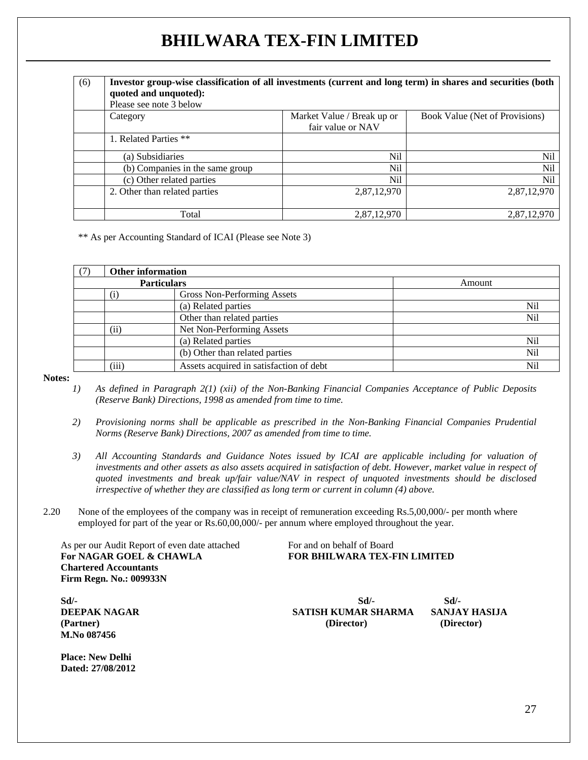| (6) | Investor group-wise classification of all investments (current and long term) in shares and securities (both<br>quoted and unquoted): |                                                 |                                |  |  |  |  |
|-----|---------------------------------------------------------------------------------------------------------------------------------------|-------------------------------------------------|--------------------------------|--|--|--|--|
|     | Please see note 3 below                                                                                                               |                                                 |                                |  |  |  |  |
|     | Category                                                                                                                              | Market Value / Break up or<br>fair value or NAV | Book Value (Net of Provisions) |  |  |  |  |
|     | 1. Related Parties **                                                                                                                 |                                                 |                                |  |  |  |  |
|     | (a) Subsidiaries                                                                                                                      | Nil                                             | Nil                            |  |  |  |  |
|     | (b) Companies in the same group                                                                                                       | Nil                                             | Nil                            |  |  |  |  |
|     | (c) Other related parties                                                                                                             | Nil                                             | Nil                            |  |  |  |  |
|     | 2. Other than related parties                                                                                                         | 2,87,12,970                                     | 2,87,12,970                    |  |  |  |  |
|     | Total                                                                                                                                 | 2,87,12,970                                     | 2,87,12,970                    |  |  |  |  |

\*\* As per Accounting Standard of ICAI (Please see Note 3)

| <b>Other information</b> |                                         |        |  |  |
|--------------------------|-----------------------------------------|--------|--|--|
| <b>Particulars</b>       |                                         | Amount |  |  |
|                          | Gross Non-Performing Assets             |        |  |  |
|                          | (a) Related parties                     | Nil    |  |  |
|                          | Other than related parties              | Nil    |  |  |
| (iii)                    | Net Non-Performing Assets               |        |  |  |
|                          | (a) Related parties                     | Nil    |  |  |
|                          | (b) Other than related parties          | Nil    |  |  |
| (iii)                    | Assets acquired in satisfaction of debt | Nil    |  |  |

**Notes:** 

- *1) As defined in Paragraph 2(1) (xii) of the Non-Banking Financial Companies Acceptance of Public Deposits (Reserve Bank) Directions, 1998 as amended from time to time.*
- *2) Provisioning norms shall be applicable as prescribed in the Non-Banking Financial Companies Prudential Norms (Reserve Bank) Directions, 2007 as amended from time to time.*
- *3) All Accounting Standards and Guidance Notes issued by ICAI are applicable including for valuation of investments and other assets as also assets acquired in satisfaction of debt. However, market value in respect of quoted investments and break up/fair value/NAV in respect of unquoted investments should be disclosed irrespective of whether they are classified as long term or current in column (4) above.*
- 2.20 None of the employees of the company was in receipt of remuneration exceeding Rs.5,00,000/- per month where employed for part of the year or Rs.60,00,000/- per annum where employed throughout the year.

As per our Audit Report of even date attached For and on behalf of Board For NAGAR GOEL & CHAWLA **FOR BHILWARA TEX-FIN LIMITED Chartered Accountants Firm Regn. No.: 009933N** 

**M.No 087456** 

**Place: New Delhi Dated: 27/08/2012** 

**Sd/- Sd/- Sd/- DEEPAK NAGAR SATISH KUMAR SHARMA SANJAY HASIJA (Partner) (Director) (Director)**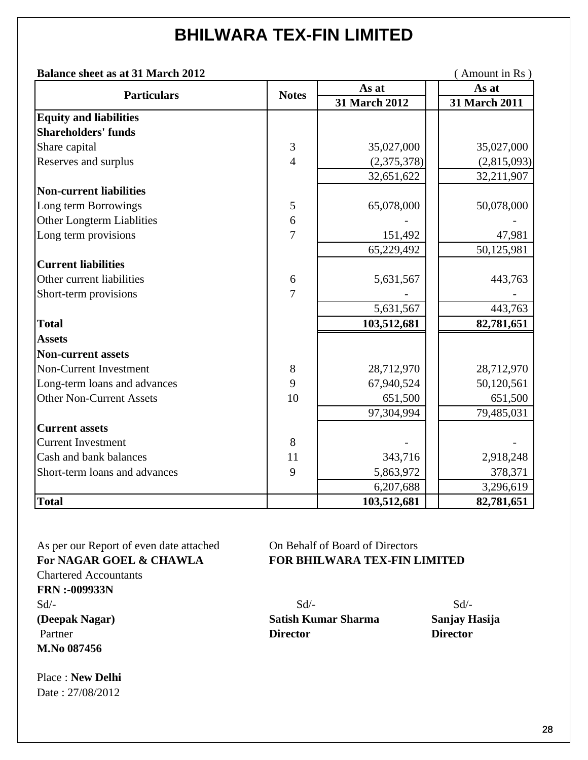| <b>Balance sheet as at 31 March 2012</b> |                | (Amount in Rs) |               |
|------------------------------------------|----------------|----------------|---------------|
| <b>Particulars</b>                       | <b>Notes</b>   | As at          | As at         |
|                                          |                | 31 March 2012  | 31 March 2011 |
| <b>Equity and liabilities</b>            |                |                |               |
| <b>Shareholders' funds</b>               |                |                |               |
| Share capital                            | $\mathfrak{Z}$ | 35,027,000     | 35,027,000    |
| Reserves and surplus                     | $\overline{4}$ | (2,375,378)    | (2,815,093)   |
|                                          |                | 32,651,622     | 32,211,907    |
| <b>Non-current liabilities</b>           |                |                |               |
| Long term Borrowings                     | $\mathfrak{S}$ | 65,078,000     | 50,078,000    |
| Other Longterm Liablities                | 6              |                |               |
| Long term provisions                     | $\overline{7}$ | 151,492        | 47,981        |
|                                          |                | 65,229,492     | 50,125,981    |
| <b>Current liabilities</b>               |                |                |               |
| Other current liabilities                | 6              | 5,631,567      | 443,763       |
| Short-term provisions                    | $\overline{7}$ |                |               |
|                                          |                | 5,631,567      | 443,763       |
| <b>Total</b>                             |                | 103,512,681    | 82,781,651    |
| <b>Assets</b>                            |                |                |               |
| <b>Non-current assets</b>                |                |                |               |
| Non-Current Investment                   | $8\,$          | 28,712,970     | 28,712,970    |
| Long-term loans and advances             | 9              | 67,940,524     | 50,120,561    |
| <b>Other Non-Current Assets</b>          | 10             | 651,500        | 651,500       |
|                                          |                | 97,304,994     | 79,485,031    |
| <b>Current assets</b>                    |                |                |               |
| <b>Current Investment</b>                | $8\,$          |                |               |
| Cash and bank balances                   | 11             | 343,716        | 2,918,248     |
| Short-term loans and advances            | 9              | 5,863,972      | 378,371       |
|                                          |                | 6,207,688      | 3,296,619     |
| <b>Total</b>                             |                | 103,512,681    | 82,781,651    |

As per our Report of even date attached On Behalf of Board of Directors Chartered Accountants **FRN :-009933N** Sd/- Sd/- Sd/- **(Deepak Nagar) Satish Kumar Sharma Sanjay Hasija** Partner **Director Director Director M.No 087456**

Place : **New Delhi** Date : 27/08/2012

**For NAGAR GOEL & CHAWLA FOR BHILWARA TEX-FIN LIMITED**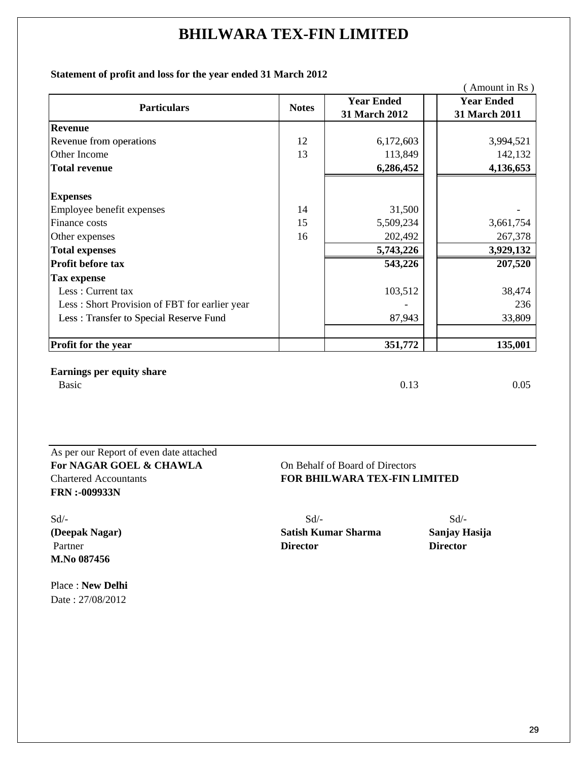### **Statement of profit and loss for the year ended 31 March 2012**

|                                               |              |                   | (Amount in Rs)    |
|-----------------------------------------------|--------------|-------------------|-------------------|
| <b>Particulars</b>                            | <b>Notes</b> | <b>Year Ended</b> | <b>Year Ended</b> |
|                                               |              | 31 March 2012     | 31 March 2011     |
| <b>Revenue</b>                                |              |                   |                   |
| Revenue from operations                       | 12           | 6,172,603         | 3,994,521         |
| Other Income                                  | 13           | 113,849           | 142,132           |
| <b>Total revenue</b>                          |              | 6,286,452         | 4,136,653         |
| <b>Expenses</b>                               |              |                   |                   |
| Employee benefit expenses                     | 14           | 31,500            |                   |
| Finance costs                                 | 15           | 5,509,234         | 3,661,754         |
| Other expenses                                | 16           | 202,492           | 267,378           |
| <b>Total expenses</b>                         |              | 5,743,226         | 3,929,132         |
| Profit before tax                             |              | 543,226           | 207,520           |
| <b>Tax expense</b>                            |              |                   |                   |
| Less: Current tax                             |              | 103,512           | 38,474            |
| Less: Short Provision of FBT for earlier year |              |                   | 236               |
| Less: Transfer to Special Reserve Fund        |              | 87,943            | 33,809            |
| Profit for the year                           |              | 351,772           | 135,001           |
|                                               |              |                   |                   |
| Earnings per equity share<br><b>Basic</b>     |              | 0.13              | 0.05              |
|                                               |              |                   |                   |

As per our Report of even date attached **For NAGAR GOEL & CHAWLA** On Behalf of Board of Directors

# Chartered Accountants **FOR BHILWARA TEX-FIN LIMITED**

**M.No 087456**

**FRN :-009933N FRN : 009933N**

Place : **New Delhi** Date : 27/08/2012

 $Sd$ - $Sd$ - $Sd$ -**(Deepak Nagar) Satish Kumar Sharma Sanjay Hasija** Partner **Director Director Director** 

29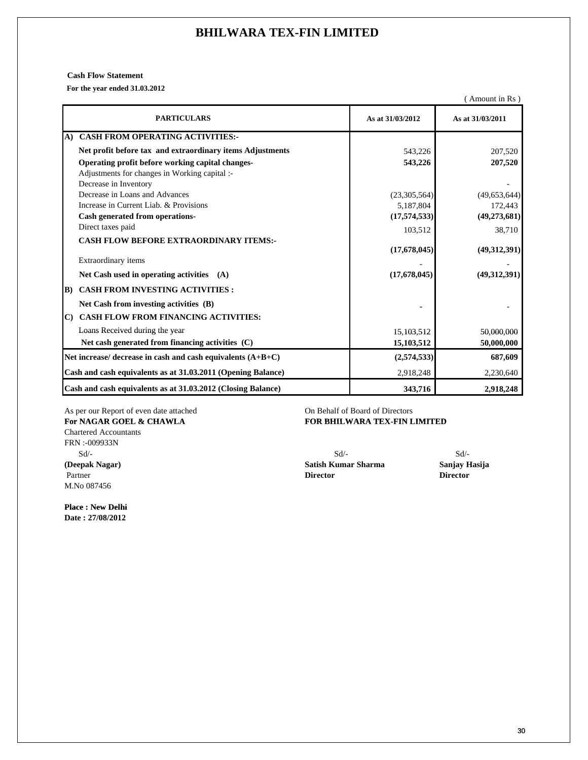**Cash Flow Statement**

**For the year ended 31.03.2012**

|                                                               |                  | (Amount in Rs)   |
|---------------------------------------------------------------|------------------|------------------|
| <b>PARTICULARS</b>                                            | As at 31/03/2012 | As at 31/03/2011 |
| <b>CASH FROM OPERATING ACTIVITIES:-</b><br>A)                 |                  |                  |
| Net profit before tax and extraordinary items Adjustments     | 543,226          | 207,520          |
| Operating profit before working capital changes-              | 543,226          | 207,520          |
| Adjustments for changes in Working capital :-                 |                  |                  |
| Decrease in Inventory                                         |                  |                  |
| Decrease in Loans and Advances                                | (23,305,564)     | (49, 653, 644)   |
| Increase in Current Liab. & Provisions                        | 5,187,804        | 172,443          |
| Cash generated from operations-                               | (17, 574, 533)   | (49, 273, 681)   |
| Direct taxes paid                                             | 103,512          | 38,710           |
| <b>CASH FLOW BEFORE EXTRAORDINARY ITEMS:-</b>                 |                  |                  |
|                                                               | (17,678,045)     | (49, 312, 391)   |
| Extraordinary items                                           |                  |                  |
| Net Cash used in operating activities (A)                     | (17,678,045)     | (49,312,391)     |
| <b>B) CASH FROM INVESTING ACTIVITIES:</b>                     |                  |                  |
| Net Cash from investing activities (B)                        |                  |                  |
| <b>CASH FLOW FROM FINANCING ACTIVITIES:</b><br>C)             |                  |                  |
| Loans Received during the year                                | 15,103,512       | 50,000,000       |
| Net cash generated from financing activities $(C)$            | 15,103,512       | 50,000,000       |
| Net increase/ decrease in cash and cash equivalents $(A+B+C)$ | (2,574,533)      | 687,609          |
| Cash and cash equivalents as at 31.03.2011 (Opening Balance)  | 2,918,248        | 2,230,640        |
| Cash and cash equivalents as at 31.03.2012 (Closing Balance)  | 343,716          | 2,918,248        |

#### As per our Report of even date attached On Behalf of Board of Directors **For NAGAR GOEL & CHAWLA**

Chartered Accountants FRN :-009933N **(Deepak Nagar)** Sangar Sangar Sangar Sangar Sangar Sangar Sangar Sangar Sangar Sangar Sangar Sangar Sangar Sangar Sangar Sangar Sangar Sangar Sangar Sangar Sangar Sangar Sangar Sangar Sangar Sangar Sangar Sangar Sangar Sa M.No 087456

**Place : New Delhi Place : New Date : 27/08/2012**

**For NAGAR GOEL & CHAWLA FOR BHILWARA TEX FIN LIMITED**

| $Sd$ /-        | Sd/-                | Sd/-            |
|----------------|---------------------|-----------------|
| (Deepak Nagar) | Satish Kumar Sharma | Sanjay Hasija   |
| Partner        | <b>Director</b>     | <b>Director</b> |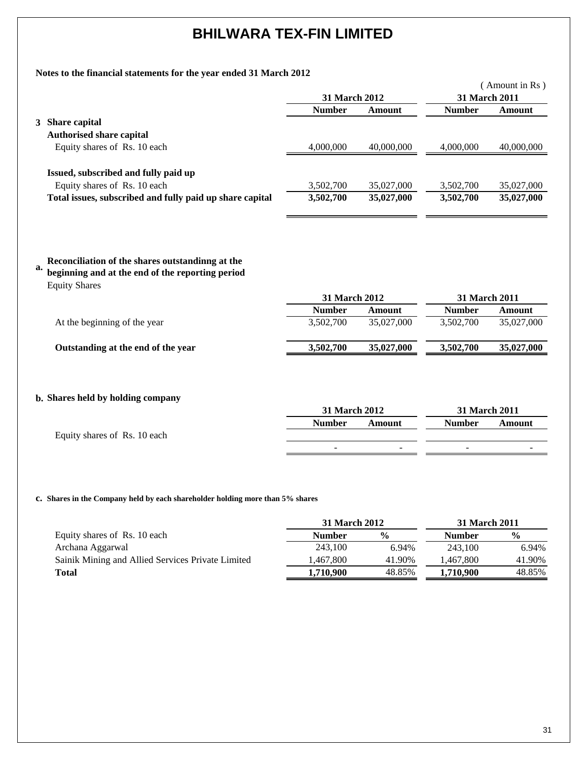### **Notes to the financial statements for the year ended 31 March 2012**

|                                                                                                                                                                    | 31 March 2012                               |                             | (Amount in Rs)<br>31 March 2011             |                             |
|--------------------------------------------------------------------------------------------------------------------------------------------------------------------|---------------------------------------------|-----------------------------|---------------------------------------------|-----------------------------|
|                                                                                                                                                                    | <b>Number</b>                               | <b>Amount</b>               | <b>Number</b>                               | <b>Amount</b>               |
| 3 Share capital                                                                                                                                                    |                                             |                             |                                             |                             |
| <b>Authorised share capital</b>                                                                                                                                    |                                             |                             |                                             |                             |
| Equity shares of Rs. 10 each                                                                                                                                       | 4,000,000                                   | 40,000,000                  | 4,000,000                                   | 40,000,000                  |
|                                                                                                                                                                    |                                             |                             |                                             |                             |
| Issued, subscribed and fully paid up                                                                                                                               |                                             |                             |                                             |                             |
| Equity shares of Rs. 10 each                                                                                                                                       | 3,502,700                                   | 35,027,000                  | 3,502,700                                   | 35,027,000                  |
| Total issues, subscribed and fully paid up share capital                                                                                                           | 3,502,700                                   | 35,027,000                  | 3,502,700                                   | 35,027,000                  |
| Reconciliation of the shares outstandinng at the<br>a.<br>beginning and at the end of the reporting period<br><b>Equity Shares</b><br>At the beginning of the year | 31 March 2012<br><b>Number</b><br>3,502,700 | <b>Amount</b><br>35,027,000 | 31 March 2011<br><b>Number</b><br>3,502,700 | <b>Amount</b><br>35,027,000 |
| Outstanding at the end of the year                                                                                                                                 | 3,502,700                                   | 35,027,000                  | 3,502,700                                   | 35,027,000                  |
| b. Shares held by holding company                                                                                                                                  |                                             |                             |                                             |                             |
| Equity shares of Rs. 10 each                                                                                                                                       | 31 March 2012<br><b>Number</b>              | <b>Amount</b>               | 31 March 2011<br><b>Number</b>              | Amount                      |

#### **c. Shares in the Company held by each shareholder holding more than 5% shares**

|                                                   |               | 31 March 2012 |               | 31 March 2011 |
|---------------------------------------------------|---------------|---------------|---------------|---------------|
| Equity shares of Rs. 10 each                      | <b>Number</b> | $\frac{6}{9}$ | <b>Number</b> | $\frac{0}{0}$ |
| Archana Aggarwal                                  | 243.100       | 6.94%         | 243,100       | 6.94%         |
| Sainik Mining and Allied Services Private Limited | 1.467.800     | 41.90%        | 1.467.800     | 41.90%        |
| <b>Total</b>                                      | 1.710.900     | 48.85%        | 1.710.900     | 48.85%        |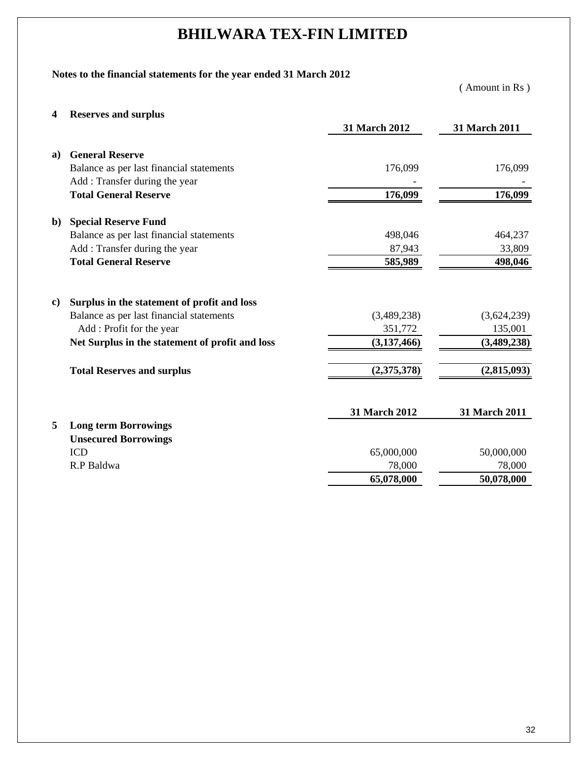### **Notes to the financial statements for the year ended 31 March 2012**

( Amount in Rs )

| 4        | <b>Reserves and surplus</b>                     |               |               |
|----------|-------------------------------------------------|---------------|---------------|
|          |                                                 | 31 March 2012 | 31 March 2011 |
| a)       | <b>General Reserve</b>                          |               |               |
|          | Balance as per last financial statements        | 176,099       | 176,099       |
|          | Add: Transfer during the year                   |               |               |
|          | <b>Total General Reserve</b>                    | 176,099       | 176,099       |
| b)       | <b>Special Reserve Fund</b>                     |               |               |
|          | Balance as per last financial statements        | 498,046       | 464,237       |
|          | Add: Transfer during the year                   | 87,943        | 33,809        |
|          | <b>Total General Reserve</b>                    | 585,989       | 498,046       |
|          | Surplus in the statement of profit and loss     |               |               |
| $\bf c)$ | Balance as per last financial statements        | (3,489,238)   | (3,624,239)   |
|          | Add : Profit for the year                       | 351,772       | 135,001       |
|          | Net Surplus in the statement of profit and loss | (3,137,466)   | (3,489,238)   |
|          | <b>Total Reserves and surplus</b>               | (2,375,378)   | (2,815,093)   |
|          |                                                 |               |               |
|          |                                                 | 31 March 2012 | 31 March 2011 |
| 5        | <b>Long term Borrowings</b>                     |               |               |
|          | <b>Unsecured Borrowings</b>                     |               |               |
|          | <b>ICD</b>                                      | 65,000,000    | 50,000,000    |
|          | R.P Baldwa                                      | 78,000        | 78,000        |
|          |                                                 | 65,078,000    | 50,078,000    |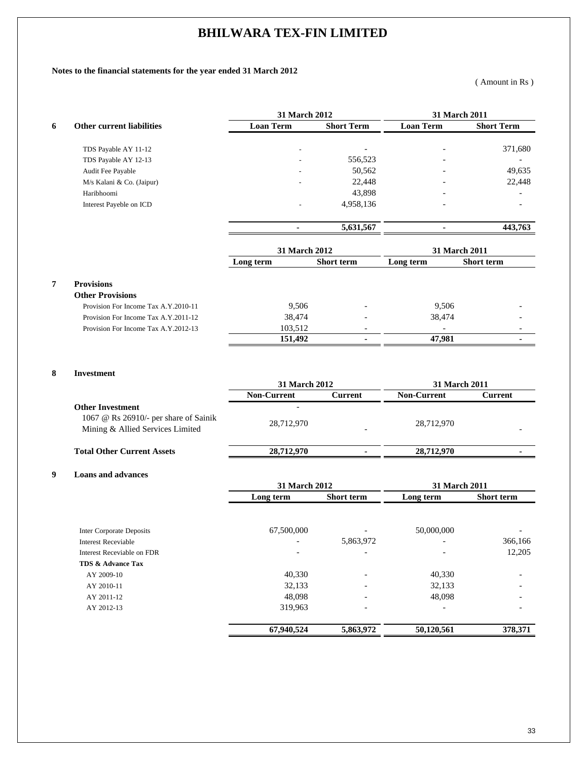#### **Notes to the financial statements for the year ended 31 March 2012**

( Amount in Rs )

|   |                                       | 31 March 2012      |                   | 31 March 2011            |                   |
|---|---------------------------------------|--------------------|-------------------|--------------------------|-------------------|
| 6 | <b>Other current liabilities</b>      | <b>Loan Term</b>   | <b>Short Term</b> | <b>Loan Term</b>         | <b>Short Term</b> |
|   |                                       |                    |                   |                          |                   |
|   | TDS Payable AY 11-12                  |                    |                   |                          | 371,680           |
|   | TDS Payable AY 12-13                  |                    | 556,523           |                          |                   |
|   | Audit Fee Payable                     |                    | 50,562            |                          | 49,635            |
|   | M/s Kalani & Co. (Jaipur)             |                    | 22,448            |                          | 22,448            |
|   | Haribhoomi                            |                    | 43,898            |                          |                   |
|   | Interest Payeble on ICD               |                    | 4,958,136         |                          |                   |
|   |                                       | $\blacksquare$     | 5,631,567         | ۰                        | 443,763           |
|   |                                       | 31 March 2012      |                   | 31 March 2011            |                   |
|   |                                       | Long term          | Short term        | Long term                | Short term        |
| 7 | <b>Provisions</b>                     |                    |                   |                          |                   |
|   | <b>Other Provisions</b>               |                    |                   |                          |                   |
|   | Provision For Income Tax A.Y.2010-11  | 9,506              |                   | 9,506                    |                   |
|   | Provision For Income Tax A.Y.2011-12  | 38,474             |                   | 38,474                   |                   |
|   | Provision For Income Tax A.Y.2012-13  | 103,512            |                   | $\overline{a}$           |                   |
|   |                                       | 151,492            |                   | 47,981                   |                   |
| 8 | <b>Investment</b>                     |                    |                   |                          |                   |
|   |                                       | 31 March 2012      |                   | 31 March 2011            |                   |
|   |                                       | <b>Non-Current</b> | <b>Current</b>    | Non-Current              | <b>Current</b>    |
|   | <b>Other Investment</b>               |                    |                   |                          |                   |
|   | 1067 @ Rs 26910/- per share of Sainik | 28,712,970         |                   | 28,712,970               |                   |
|   | Mining & Allied Services Limited      |                    |                   |                          |                   |
|   | <b>Total Other Current Assets</b>     | 28,712,970         |                   | 28,712,970               |                   |
| 9 | <b>Loans and advances</b>             |                    |                   |                          |                   |
|   |                                       | 31 March 2012      |                   | 31 March 2011            |                   |
|   |                                       | Long term          | Short term        | Long term                | Short term        |
|   |                                       |                    |                   |                          |                   |
|   | <b>Inter Corporate Deposits</b>       | 67,500,000         |                   | 50,000,000               |                   |
|   | Interest Receviable                   |                    | 5,863,972         |                          | 366,166           |
|   | Interest Receviable on FDR            |                    |                   |                          | 12,205            |
|   | TDS & Advance Tax                     |                    |                   |                          |                   |
|   | AY 2009-10                            | 40,330             |                   | 40,330                   |                   |
|   | AY 2010-11                            | 32,133             |                   | 32,133                   |                   |
|   | AY 2011-12                            | 48,098             |                   | 48,098                   |                   |
|   | AY 2012-13                            | 319,963            |                   | $\overline{\phantom{0}}$ |                   |
|   |                                       |                    |                   |                          |                   |

**67,940,524 67,863,972 67,940,524 67,940,524 67,863,972 67,940,524 67,863,972**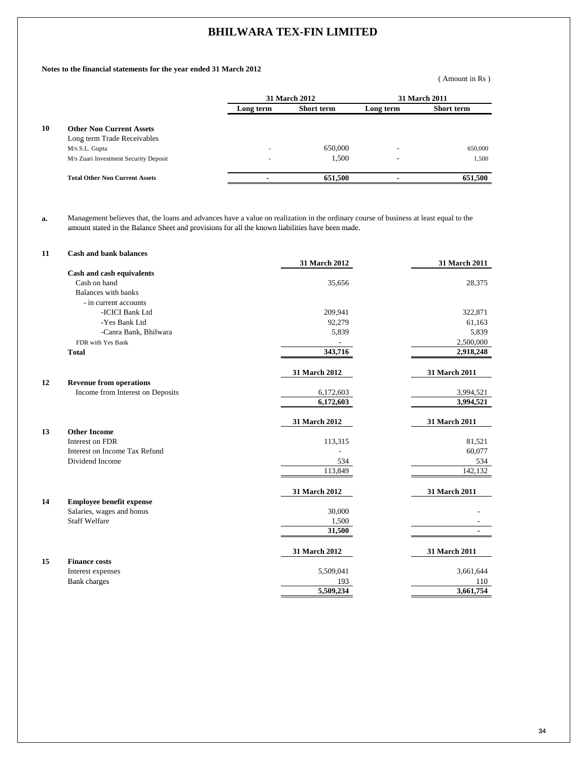#### **Notes to the financial statements for the year ended 31 March 2012**

( Amount in Rs )

|    |                                       |           | <b>31 March 2012</b> |                          | <b>31 March 2011</b> |
|----|---------------------------------------|-----------|----------------------|--------------------------|----------------------|
|    |                                       | Long term | <b>Short term</b>    | Long term                | <b>Short term</b>    |
| 10 | <b>Other Non Current Assets</b>       |           |                      |                          |                      |
|    | Long term Trade Receivables           |           |                      |                          |                      |
|    | M/s S.L. Gupta                        |           | 650,000              | $\overline{\phantom{a}}$ | 650,000              |
|    | M/s Zuari Investment Security Deposit |           | 1.500                | -                        | 1,500                |
|    | <b>Total Other Non Current Assets</b> |           | 651,500              |                          | 651,500              |

**a.** Management believes that, the loans and advances have a value on realization in the ordinary course of business at least equal to the amount stated in the Balance Sheet and provisions for all the known liabilities have been made. amount stated in the Balance Sheet and provisions for all the known liabilities have been

**11 Cash and bank balances**

|    |                                  | 31 March 2012 | 31 March 2011 |
|----|----------------------------------|---------------|---------------|
|    | Cash and cash equivalents        |               |               |
|    | Cash on hand                     | 35,656        | 28,375        |
|    | <b>Balances</b> with banks       |               |               |
|    | - in current accounts            |               |               |
|    | -ICICI Bank Ltd                  | 209,941       | 322,871       |
|    | -Yes Bank Ltd                    | 92,279        | 61,163        |
|    | -Canra Bank, Bhilwara            | 5,839         | 5,839         |
|    | FDR with Yes Bank                |               | 2,500,000     |
|    | <b>Total</b>                     | 343,716       | 2,918,248     |
|    |                                  | 31 March 2012 | 31 March 2011 |
| 12 | <b>Revenue from operations</b>   |               |               |
|    | Income from Interest on Deposits | 6,172,603     | 3,994,521     |
|    |                                  | 6,172,603     | 3,994,521     |
|    |                                  | 31 March 2012 | 31 March 2011 |
| 13 | <b>Other Income</b>              |               |               |
|    | Interest on FDR                  | 113,315       | 81,521        |
|    | Interest on Income Tax Refund    |               | 60,077        |
|    | Dividend Income                  | 534           | 534           |
|    |                                  | 113,849       | 142,132       |
|    |                                  | 31 March 2012 | 31 March 2011 |
| 14 | <b>Employee benefit expense</b>  |               |               |
|    | Salaries, wages and bonus        | 30,000        |               |
|    | <b>Staff Welfare</b>             | 1,500         |               |
|    |                                  | 31,500        |               |
|    |                                  | 31 March 2012 | 31 March 2011 |
| 15 | <b>Finance costs</b>             |               |               |
|    | Interest expenses                | 5,509,041     | 3,661,644     |
|    | Bank charges                     | 193           | 110           |
|    |                                  | 5,509,234     | 3,661,754     |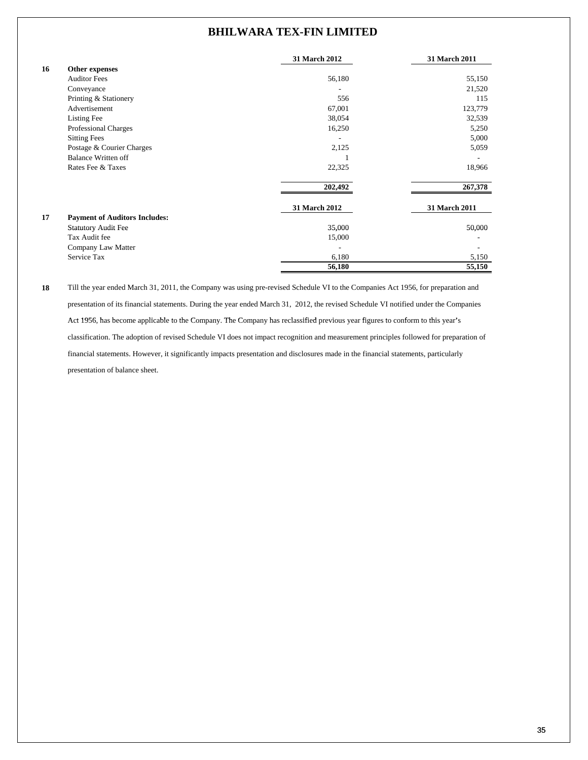|    |                                      | 31 March 2012 | 31 March 2011 |
|----|--------------------------------------|---------------|---------------|
| 16 | Other expenses                       |               |               |
|    | <b>Auditor Fees</b>                  | 56,180        | 55,150        |
|    | Conveyance                           |               | 21,520        |
|    | Printing & Stationery                | 556           | 115           |
|    | Advertisement                        | 67,001        | 123,779       |
|    | Listing Fee                          | 38,054        | 32,539        |
|    | Professional Charges                 | 16,250        | 5,250         |
|    | <b>Sitting Fees</b>                  |               | 5,000         |
|    | Postage & Courier Charges            | 2,125         | 5,059         |
|    | <b>Balance Written off</b>           |               |               |
|    | Rates Fee & Taxes                    | 22,325        | 18,966        |
|    |                                      | 202,492       | 267,378       |
|    |                                      | 31 March 2012 | 31 March 2011 |
| 17 | <b>Payment of Auditors Includes:</b> |               |               |
|    | <b>Statutory Audit Fee</b>           | 35,000        | 50,000        |
|    | Tax Audit fee                        | 15,000        |               |
|    | Company Law Matter                   |               |               |
|    | Service Tax                          | 6,180         | 5,150         |
|    |                                      | 56,180        | 55,150        |

**18** Till the year ended March 31, 2011, the Company was using pre-revised Schedule VI to the Companies Act 1956, for preparation and presentation of its financial statements. During the year ended March 31, 2012, the revised Schedule VI notified under the Companies Act 1956, has become applicable to the Company. The Company has reclassified previous year figures to conform to this year's classification. The adoption of revised Schedule VI does not impact recognition and measurement principles followed for preparation of financial statements. However, it significantly impacts presentation and disclosures made in the financial statements, particularly presentation of balance sheet.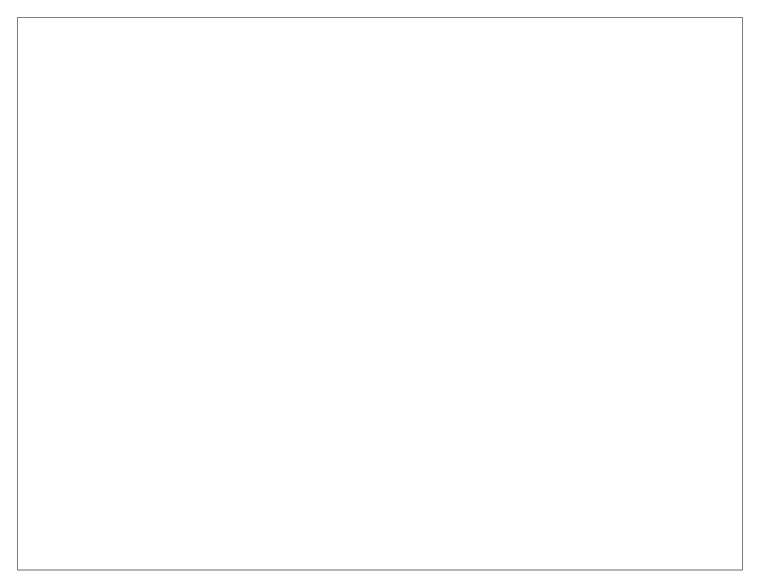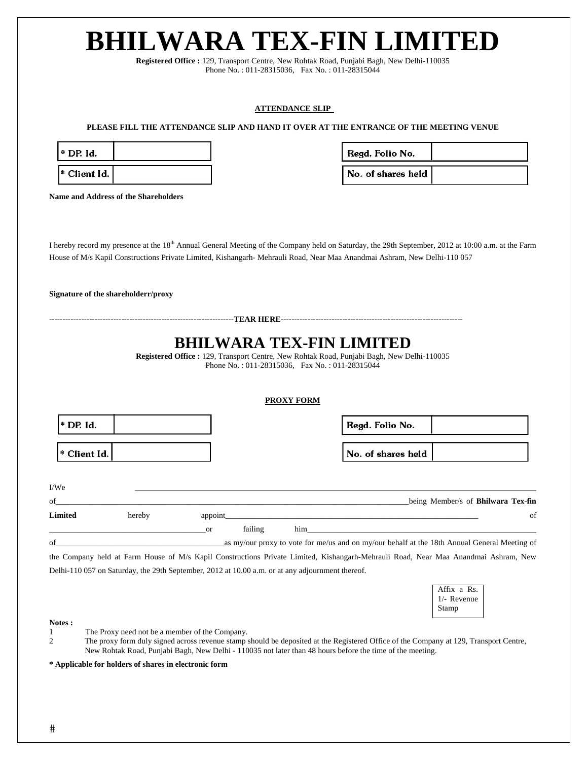|                                                                                                                                                                                                                                      | <b>BHILWARA TEX-FIN LIMITED</b>                                                                                                             |                                                                                                                                                                                                                                |                        |
|--------------------------------------------------------------------------------------------------------------------------------------------------------------------------------------------------------------------------------------|---------------------------------------------------------------------------------------------------------------------------------------------|--------------------------------------------------------------------------------------------------------------------------------------------------------------------------------------------------------------------------------|------------------------|
|                                                                                                                                                                                                                                      | Registered Office: 129, Transport Centre, New Rohtak Road, Punjabi Bagh, New Delhi-110035<br>Phone No.: 011-28315036, Fax No.: 011-28315044 |                                                                                                                                                                                                                                |                        |
|                                                                                                                                                                                                                                      |                                                                                                                                             |                                                                                                                                                                                                                                |                        |
|                                                                                                                                                                                                                                      | <b>ATTENDANCE SLIP</b>                                                                                                                      |                                                                                                                                                                                                                                |                        |
|                                                                                                                                                                                                                                      | PLEASE FILL THE ATTENDANCE SLIP AND HAND IT OVER AT THE ENTRANCE OF THE MEETING VENUE                                                       |                                                                                                                                                                                                                                |                        |
| * DP. Id.                                                                                                                                                                                                                            |                                                                                                                                             | Regd. Folio No.                                                                                                                                                                                                                |                        |
| * Client Id.                                                                                                                                                                                                                         |                                                                                                                                             | No. of shares held                                                                                                                                                                                                             |                        |
| <b>Name and Address of the Shareholders</b>                                                                                                                                                                                          |                                                                                                                                             |                                                                                                                                                                                                                                |                        |
|                                                                                                                                                                                                                                      |                                                                                                                                             |                                                                                                                                                                                                                                |                        |
|                                                                                                                                                                                                                                      |                                                                                                                                             |                                                                                                                                                                                                                                |                        |
| I hereby record my presence at the 18 <sup>th</sup> Annual General Meeting of the Company held on Saturday, the 29th September, 2012 at 10:00 a.m. at the Farm                                                                       |                                                                                                                                             |                                                                                                                                                                                                                                |                        |
| House of M/s Kapil Constructions Private Limited, Kishangarh- Mehrauli Road, Near Maa Anandmai Ashram, New Delhi-110 057                                                                                                             |                                                                                                                                             |                                                                                                                                                                                                                                |                        |
|                                                                                                                                                                                                                                      |                                                                                                                                             |                                                                                                                                                                                                                                |                        |
|                                                                                                                                                                                                                                      |                                                                                                                                             |                                                                                                                                                                                                                                |                        |
|                                                                                                                                                                                                                                      |                                                                                                                                             |                                                                                                                                                                                                                                |                        |
| Signature of the shareholderr/proxy                                                                                                                                                                                                  |                                                                                                                                             |                                                                                                                                                                                                                                |                        |
|                                                                                                                                                                                                                                      |                                                                                                                                             |                                                                                                                                                                                                                                |                        |
|                                                                                                                                                                                                                                      |                                                                                                                                             |                                                                                                                                                                                                                                |                        |
|                                                                                                                                                                                                                                      |                                                                                                                                             |                                                                                                                                                                                                                                |                        |
|                                                                                                                                                                                                                                      | <b>BHILWARA TEX-FIN LIMITED</b>                                                                                                             |                                                                                                                                                                                                                                |                        |
|                                                                                                                                                                                                                                      | Registered Office: 129, Transport Centre, New Rohtak Road, Punjabi Bagh, New Delhi-110035                                                   |                                                                                                                                                                                                                                |                        |
|                                                                                                                                                                                                                                      | Phone No.: 011-28315036, Fax No.: 011-28315044                                                                                              |                                                                                                                                                                                                                                |                        |
|                                                                                                                                                                                                                                      |                                                                                                                                             |                                                                                                                                                                                                                                |                        |
|                                                                                                                                                                                                                                      |                                                                                                                                             |                                                                                                                                                                                                                                |                        |
|                                                                                                                                                                                                                                      | <b>PROXY FORM</b>                                                                                                                           |                                                                                                                                                                                                                                |                        |
|                                                                                                                                                                                                                                      |                                                                                                                                             |                                                                                                                                                                                                                                |                        |
| * DP. Id.                                                                                                                                                                                                                            |                                                                                                                                             | Regd. Folio No.                                                                                                                                                                                                                |                        |
| # Client Id.                                                                                                                                                                                                                         |                                                                                                                                             | No. of shares held                                                                                                                                                                                                             |                        |
|                                                                                                                                                                                                                                      |                                                                                                                                             |                                                                                                                                                                                                                                |                        |
| I/We                                                                                                                                                                                                                                 |                                                                                                                                             |                                                                                                                                                                                                                                |                        |
| of                                                                                                                                                                                                                                   | <b>Example 2018</b> Seing Member/s of <b>Bhilwara Tex-fin</b>                                                                               |                                                                                                                                                                                                                                |                        |
| hereby<br>Limited                                                                                                                                                                                                                    |                                                                                                                                             | appoint and the contract of the contract of the contract of the contract of the contract of the contract of the contract of the contract of the contract of the contract of the contract of the contract of the contract of th | of                     |
| <u>or and the contract of the contract of the contract of the contract of the contract of the contract of the contract of the contract of the contract of the contract of the contract of the contract of the contract of the co</u> | failing                                                                                                                                     | him and the state of the state of the state of the state of the state of the state of the state of the state of the state of the state of the state of the state of the state of the state of the state of the state of the st |                        |
| as my/our proxy to vote for me/us and on my/our behalf at the 18th Annual General Meeting of<br>of                                                                                                                                   |                                                                                                                                             |                                                                                                                                                                                                                                |                        |
| the Company held at Farm House of M/s Kapil Constructions Private Limited, Kishangarh-Mehrauli Road, Near Maa Anandmai Ashram, New                                                                                                   |                                                                                                                                             |                                                                                                                                                                                                                                |                        |
| Delhi-110 057 on Saturday, the 29th September, 2012 at 10.00 a.m. or at any adjournment thereof.                                                                                                                                     |                                                                                                                                             |                                                                                                                                                                                                                                |                        |
|                                                                                                                                                                                                                                      |                                                                                                                                             |                                                                                                                                                                                                                                |                        |
|                                                                                                                                                                                                                                      |                                                                                                                                             |                                                                                                                                                                                                                                | Affix a Rs.            |
|                                                                                                                                                                                                                                      |                                                                                                                                             |                                                                                                                                                                                                                                | $1/-$ Revenue<br>Stamp |
|                                                                                                                                                                                                                                      |                                                                                                                                             |                                                                                                                                                                                                                                |                        |
| Notes:<br>1<br>The Proxy need not be a member of the Company.                                                                                                                                                                        |                                                                                                                                             |                                                                                                                                                                                                                                |                        |
| $\overline{c}$                                                                                                                                                                                                                       | The proxy form duly signed across revenue stamp should be deposited at the Registered Office of the Company at 129, Transport Centre,       |                                                                                                                                                                                                                                |                        |
|                                                                                                                                                                                                                                      | New Rohtak Road, Punjabi Bagh, New Delhi - 110035 not later than 48 hours before the time of the meeting.                                   |                                                                                                                                                                                                                                |                        |
| * Applicable for holders of shares in electronic form                                                                                                                                                                                |                                                                                                                                             |                                                                                                                                                                                                                                |                        |

**\* Applicable for holders of shares in electronic form**